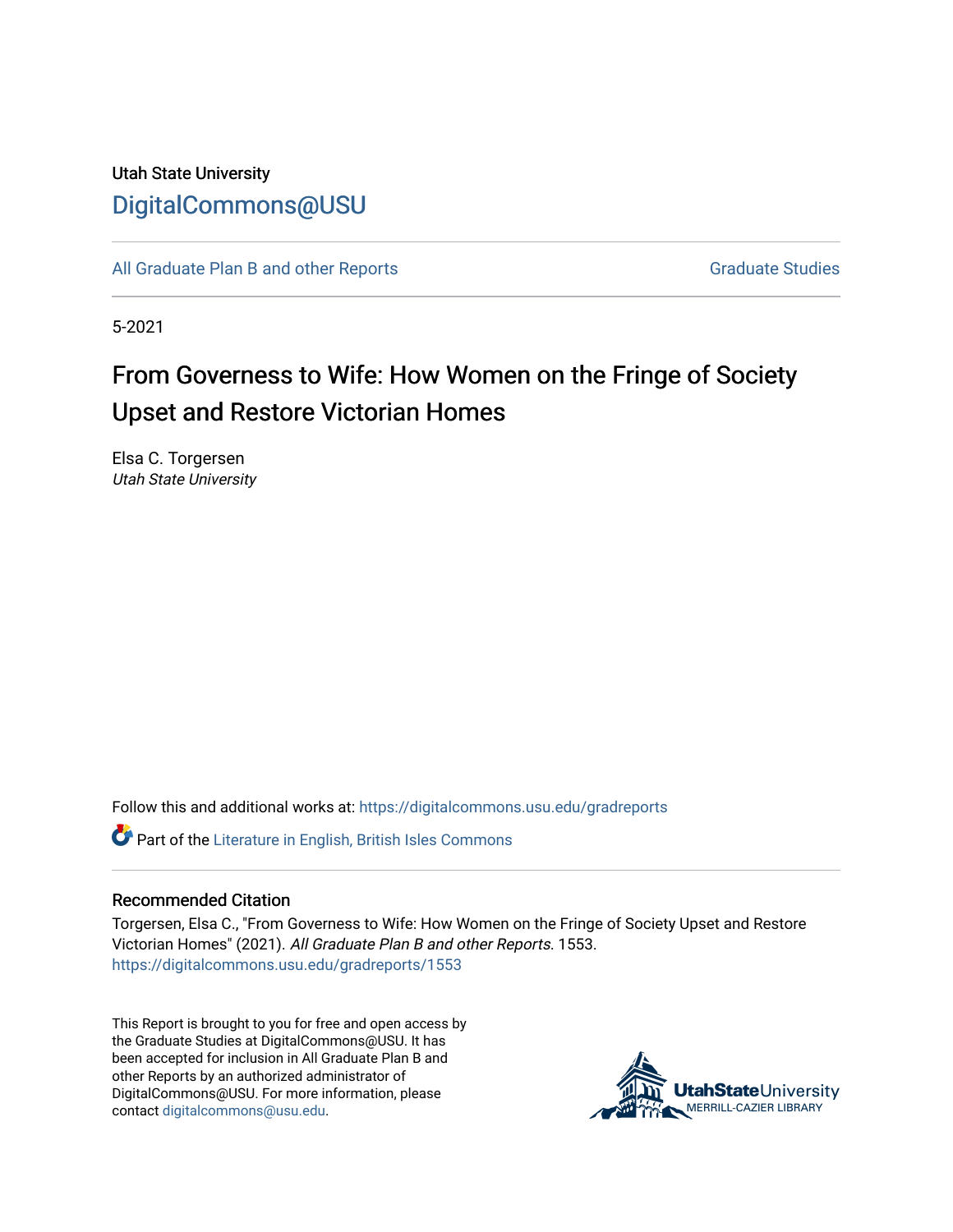# Utah State University [DigitalCommons@USU](https://digitalcommons.usu.edu/)

[All Graduate Plan B and other Reports](https://digitalcommons.usu.edu/gradreports) **Graduate Studies** Graduate Studies

5-2021

# From Governess to Wife: How Women on the Fringe of Society Upset and Restore Victorian Homes

Elsa C. Torgersen Utah State University

Follow this and additional works at: [https://digitalcommons.usu.edu/gradreports](https://digitalcommons.usu.edu/gradreports?utm_source=digitalcommons.usu.edu%2Fgradreports%2F1553&utm_medium=PDF&utm_campaign=PDFCoverPages)

Part of the [Literature in English, British Isles Commons](http://network.bepress.com/hgg/discipline/456?utm_source=digitalcommons.usu.edu%2Fgradreports%2F1553&utm_medium=PDF&utm_campaign=PDFCoverPages)

#### Recommended Citation

Torgersen, Elsa C., "From Governess to Wife: How Women on the Fringe of Society Upset and Restore Victorian Homes" (2021). All Graduate Plan B and other Reports. 1553. [https://digitalcommons.usu.edu/gradreports/1553](https://digitalcommons.usu.edu/gradreports/1553?utm_source=digitalcommons.usu.edu%2Fgradreports%2F1553&utm_medium=PDF&utm_campaign=PDFCoverPages) 

This Report is brought to you for free and open access by the Graduate Studies at DigitalCommons@USU. It has been accepted for inclusion in All Graduate Plan B and other Reports by an authorized administrator of DigitalCommons@USU. For more information, please contact [digitalcommons@usu.edu](mailto:digitalcommons@usu.edu).

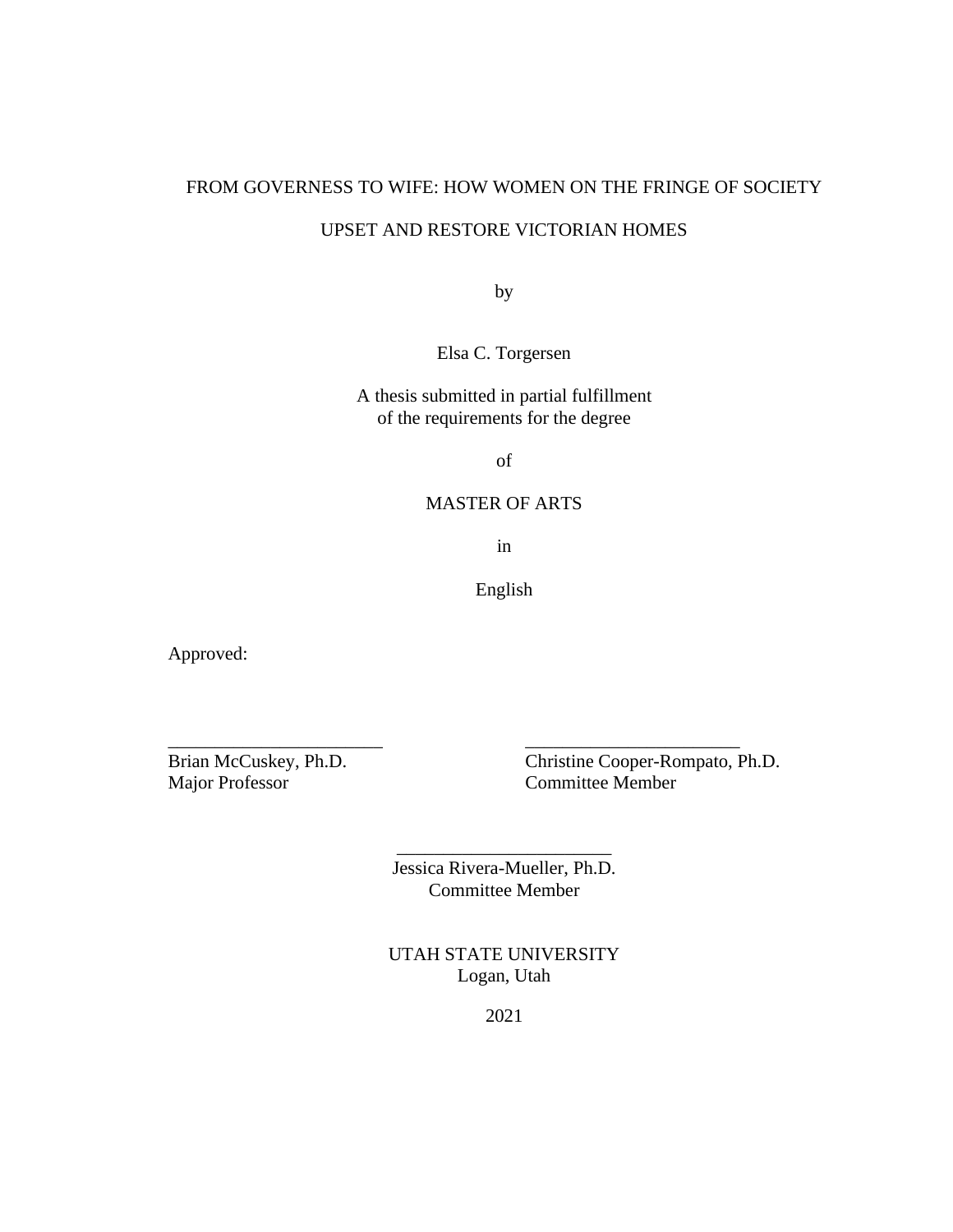# FROM GOVERNESS TO WIFE: HOW WOMEN ON THE FRINGE OF SOCIETY

# UPSET AND RESTORE VICTORIAN HOMES

by

Elsa C. Torgersen

A thesis submitted in partial fulfillment of the requirements for the degree

of

# MASTER OF ARTS

in

English

Approved:

Major Professor Committee Member

Brian McCuskey, Ph.D. Christine Cooper-Rompato, Ph.D.

Jessica Rivera-Mueller, Ph.D. Committee Member

\_\_\_\_\_\_\_\_\_\_\_\_\_\_\_\_\_\_\_\_\_\_\_

\_\_\_\_\_\_\_\_\_\_\_\_\_\_\_\_\_\_\_\_\_\_\_ \_\_\_\_\_\_\_\_\_\_\_\_\_\_\_\_\_\_\_\_\_\_\_

UTAH STATE UNIVERSITY Logan, Utah

2021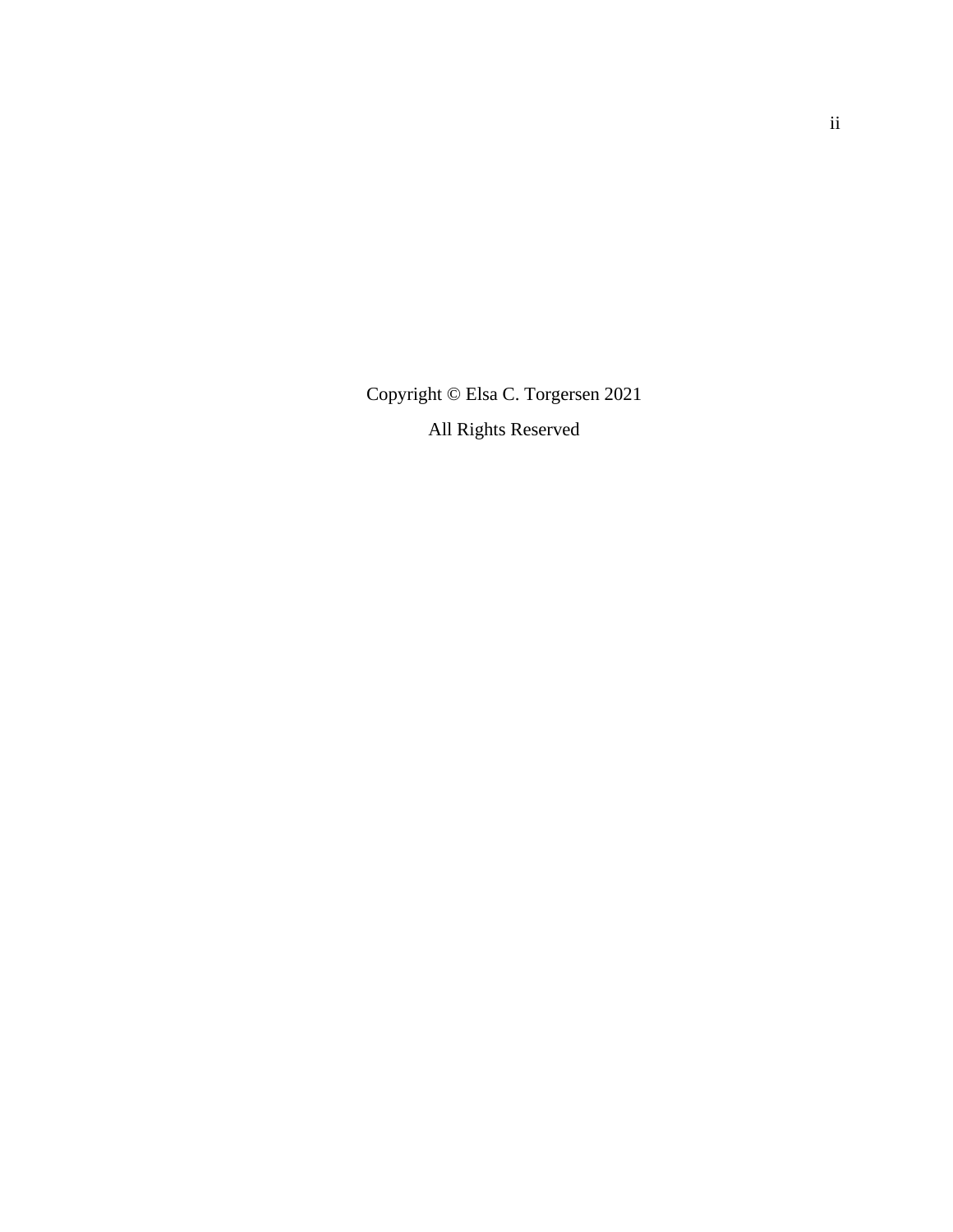Copyright © Elsa C. Torgersen 2021 All Rights Reserved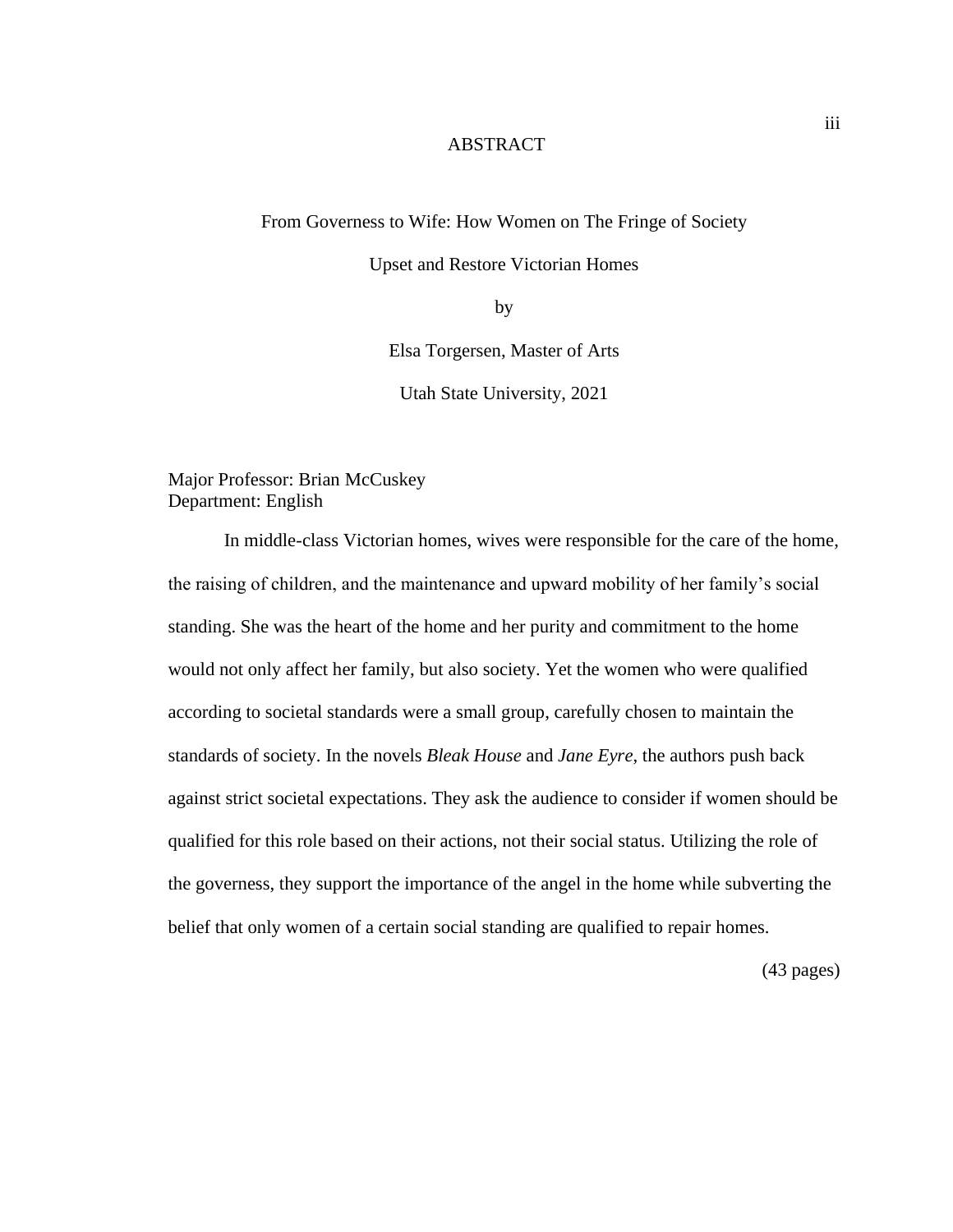# **ABSTRACT**

From Governess to Wife: How Women on The Fringe of Society

Upset and Restore Victorian Homes

by

Elsa Torgersen, Master of Arts

Utah State University, 2021

Major Professor: Brian McCuskey Department: English

In middle-class Victorian homes, wives were responsible for the care of the home, the raising of children, and the maintenance and upward mobility of her family's social standing. She was the heart of the home and her purity and commitment to the home would not only affect her family, but also society. Yet the women who were qualified according to societal standards were a small group, carefully chosen to maintain the standards of society. In the novels *Bleak House* and *Jane Eyre*, the authors push back against strict societal expectations. They ask the audience to consider if women should be qualified for this role based on their actions, not their social status. Utilizing the role of the governess, they support the importance of the angel in the home while subverting the belief that only women of a certain social standing are qualified to repair homes.

(43 pages)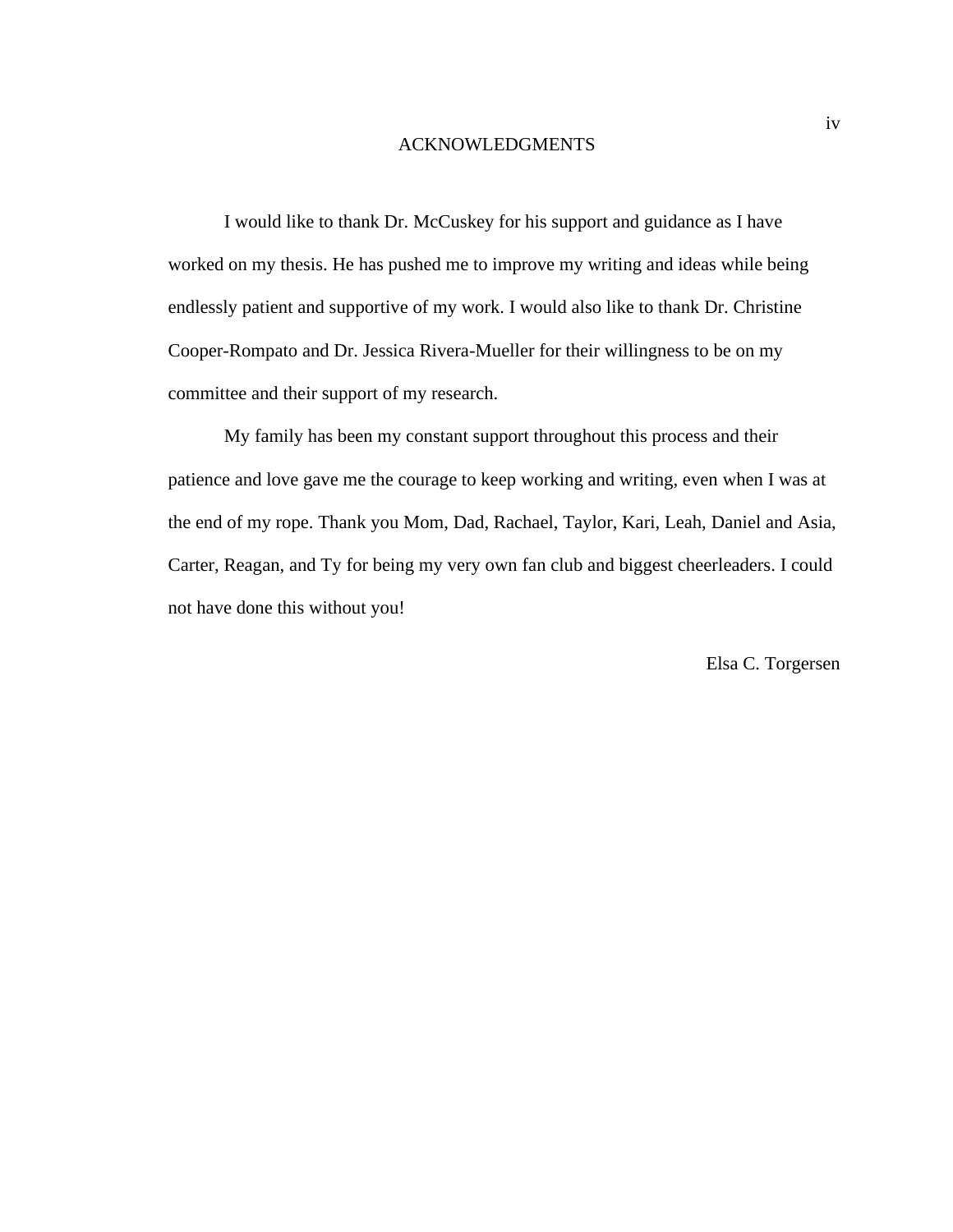#### ACKNOWLEDGMENTS

I would like to thank Dr. McCuskey for his support and guidance as I have worked on my thesis. He has pushed me to improve my writing and ideas while being endlessly patient and supportive of my work. I would also like to thank Dr. Christine Cooper-Rompato and Dr. Jessica Rivera-Mueller for their willingness to be on my committee and their support of my research.

My family has been my constant support throughout this process and their patience and love gave me the courage to keep working and writing, even when I was at the end of my rope. Thank you Mom, Dad, Rachael, Taylor, Kari, Leah, Daniel and Asia, Carter, Reagan, and Ty for being my very own fan club and biggest cheerleaders. I could not have done this without you!

Elsa C. Torgersen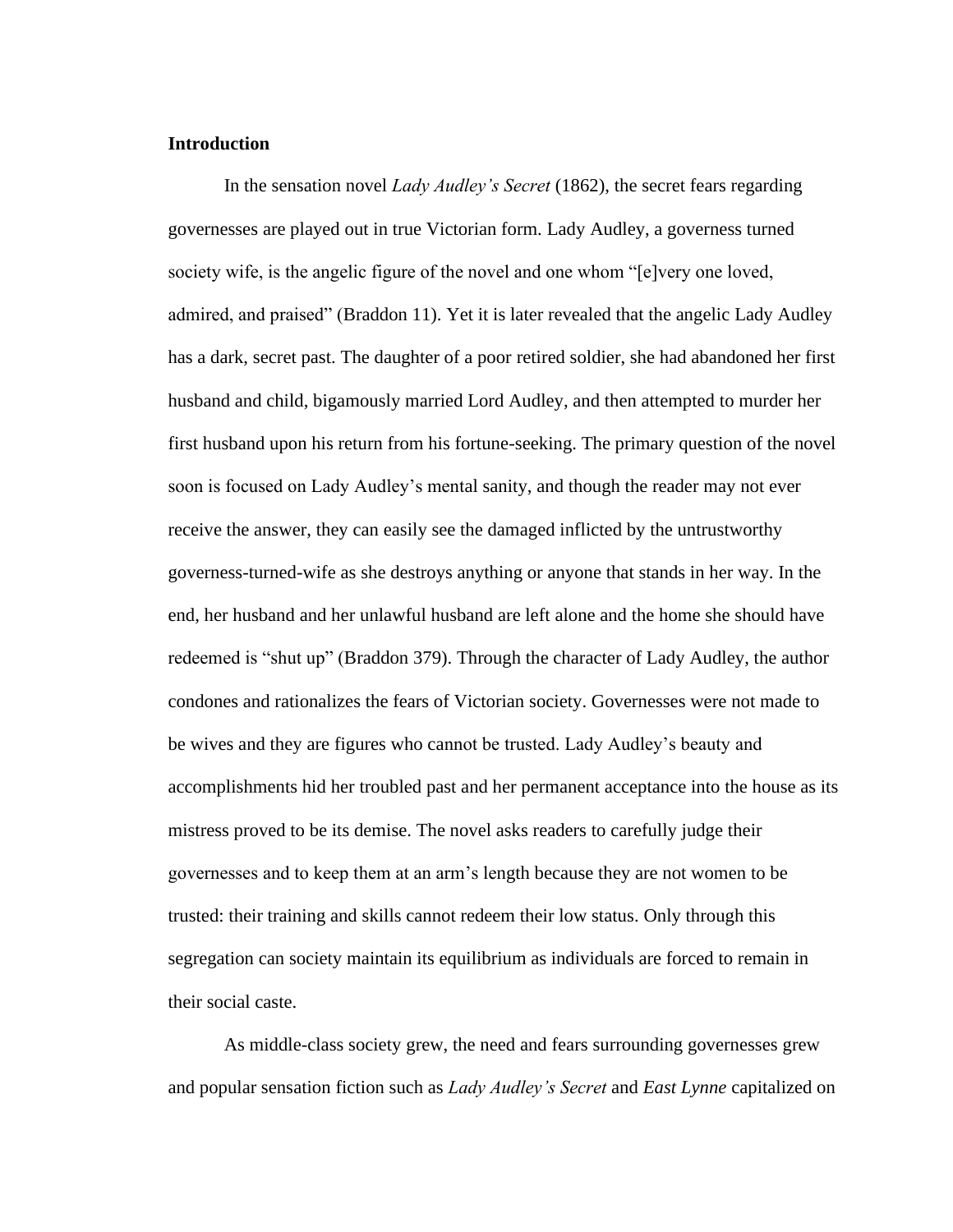# **Introduction**

In the sensation novel *Lady Audley's Secret* (1862), the secret fears regarding governesses are played out in true Victorian form. Lady Audley, a governess turned society wife, is the angelic figure of the novel and one whom "[e]very one loved, admired, and praised" (Braddon 11). Yet it is later revealed that the angelic Lady Audley has a dark, secret past. The daughter of a poor retired soldier, she had abandoned her first husband and child, bigamously married Lord Audley, and then attempted to murder her first husband upon his return from his fortune-seeking. The primary question of the novel soon is focused on Lady Audley's mental sanity, and though the reader may not ever receive the answer, they can easily see the damaged inflicted by the untrustworthy governess-turned-wife as she destroys anything or anyone that stands in her way. In the end, her husband and her unlawful husband are left alone and the home she should have redeemed is "shut up" (Braddon 379). Through the character of Lady Audley, the author condones and rationalizes the fears of Victorian society. Governesses were not made to be wives and they are figures who cannot be trusted. Lady Audley's beauty and accomplishments hid her troubled past and her permanent acceptance into the house as its mistress proved to be its demise. The novel asks readers to carefully judge their governesses and to keep them at an arm's length because they are not women to be trusted: their training and skills cannot redeem their low status. Only through this segregation can society maintain its equilibrium as individuals are forced to remain in their social caste.

As middle-class society grew, the need and fears surrounding governesses grew and popular sensation fiction such as *Lady Audley's Secret* and *East Lynne* capitalized on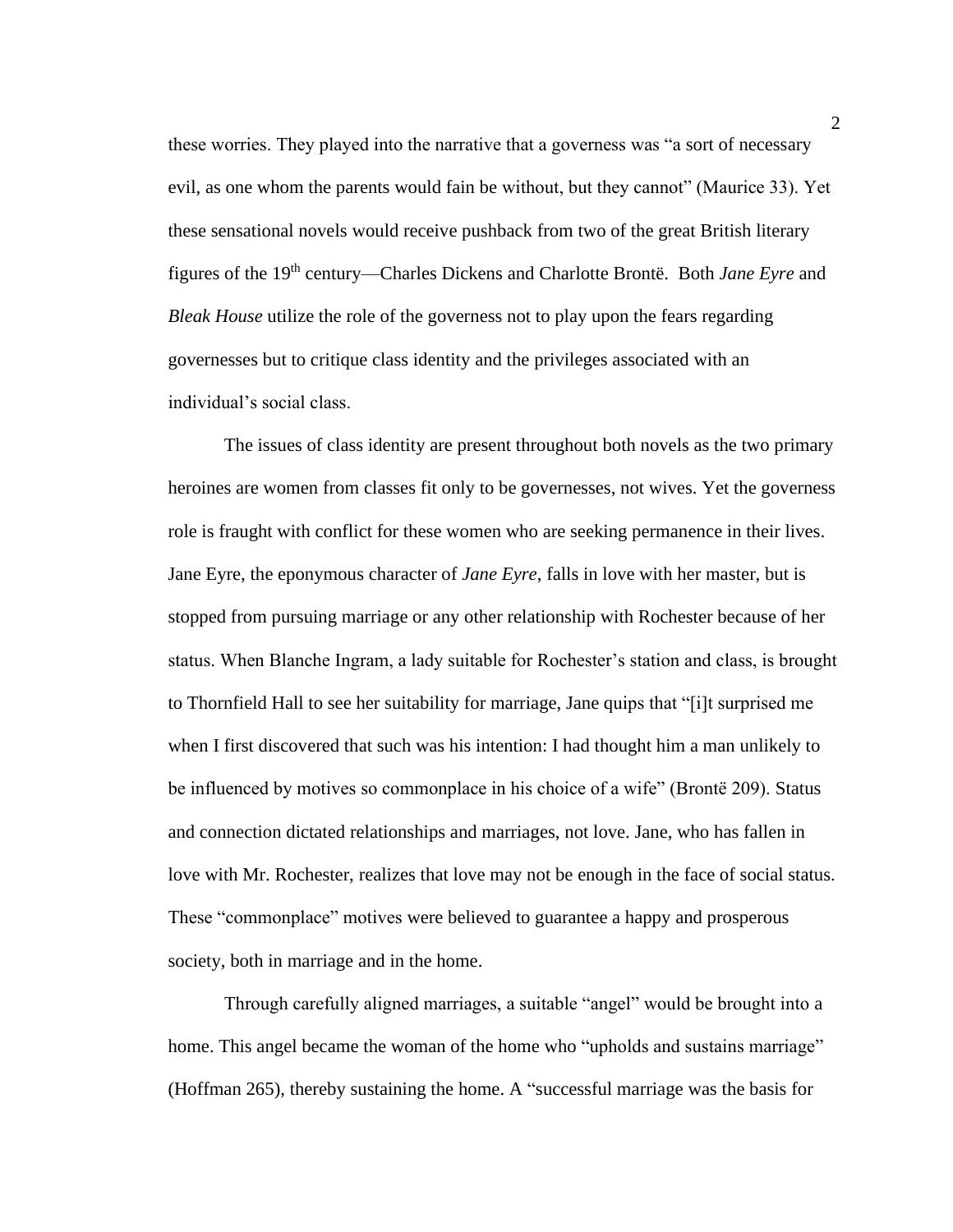these worries. They played into the narrative that a governess was "a sort of necessary evil, as one whom the parents would fain be without, but they cannot" (Maurice 33). Yet these sensational novels would receive pushback from two of the great British literary figures of the 19th century—Charles Dickens and Charlotte Brontë. Both *Jane Eyre* and *Bleak House* utilize the role of the governess not to play upon the fears regarding governesses but to critique class identity and the privileges associated with an individual's social class.

The issues of class identity are present throughout both novels as the two primary heroines are women from classes fit only to be governesses, not wives. Yet the governess role is fraught with conflict for these women who are seeking permanence in their lives. Jane Eyre, the eponymous character of *Jane Eyre*, falls in love with her master, but is stopped from pursuing marriage or any other relationship with Rochester because of her status. When Blanche Ingram, a lady suitable for Rochester's station and class, is brought to Thornfield Hall to see her suitability for marriage, Jane quips that "[i]t surprised me when I first discovered that such was his intention: I had thought him a man unlikely to be influenced by motives so commonplace in his choice of a wife" (Brontë 209). Status and connection dictated relationships and marriages, not love. Jane, who has fallen in love with Mr. Rochester, realizes that love may not be enough in the face of social status. These "commonplace" motives were believed to guarantee a happy and prosperous society, both in marriage and in the home.

Through carefully aligned marriages, a suitable "angel" would be brought into a home. This angel became the woman of the home who "upholds and sustains marriage" (Hoffman 265), thereby sustaining the home. A "successful marriage was the basis for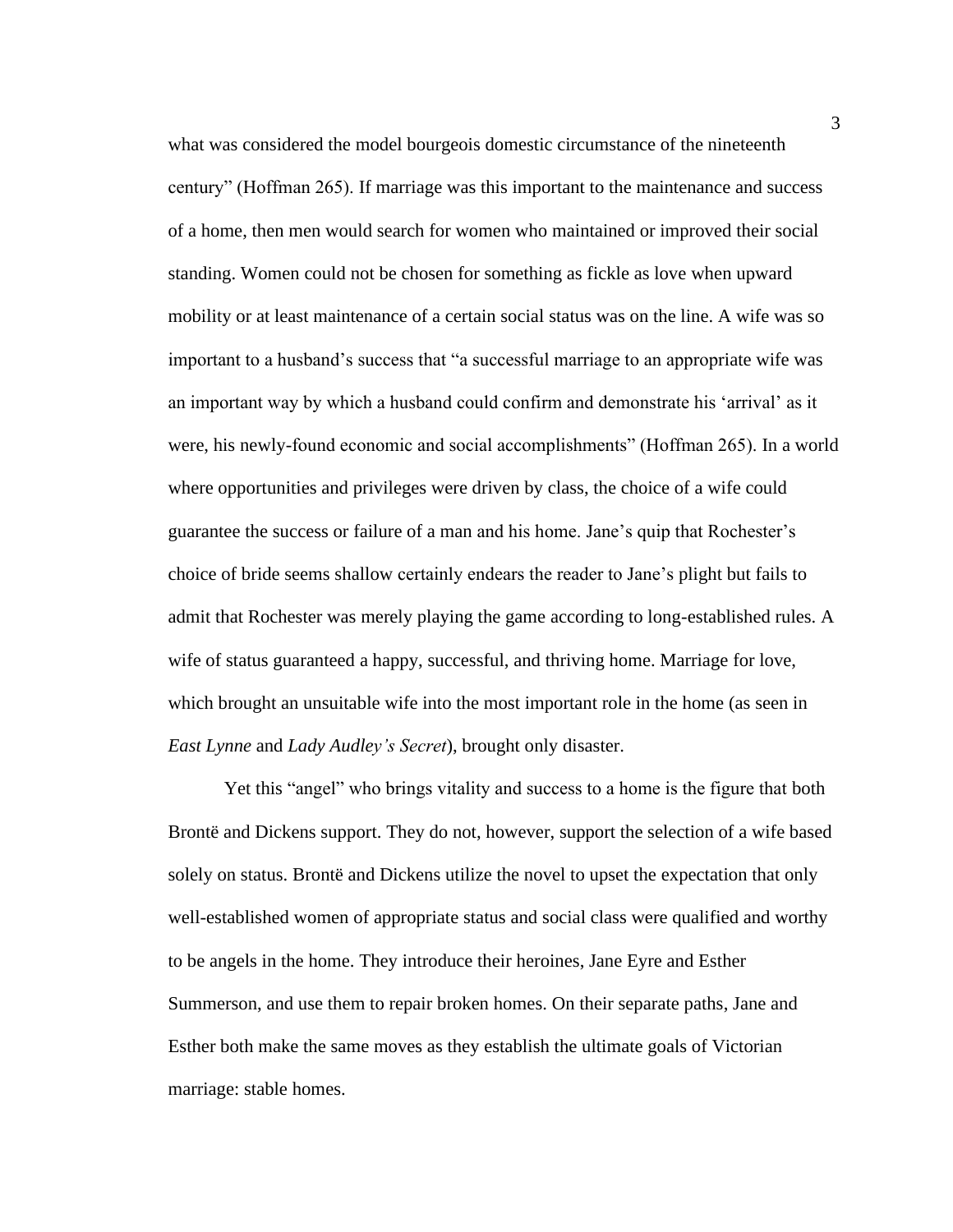what was considered the model bourgeois domestic circumstance of the nineteenth century" (Hoffman 265). If marriage was this important to the maintenance and success of a home, then men would search for women who maintained or improved their social standing. Women could not be chosen for something as fickle as love when upward mobility or at least maintenance of a certain social status was on the line. A wife was so important to a husband's success that "a successful marriage to an appropriate wife was an important way by which a husband could confirm and demonstrate his 'arrival' as it were, his newly-found economic and social accomplishments" (Hoffman 265). In a world where opportunities and privileges were driven by class, the choice of a wife could guarantee the success or failure of a man and his home. Jane's quip that Rochester's choice of bride seems shallow certainly endears the reader to Jane's plight but fails to admit that Rochester was merely playing the game according to long-established rules. A wife of status guaranteed a happy, successful, and thriving home. Marriage for love, which brought an unsuitable wife into the most important role in the home (as seen in *East Lynne* and *Lady Audley's Secret*), brought only disaster.

Yet this "angel" who brings vitality and success to a home is the figure that both Brontë and Dickens support. They do not, however, support the selection of a wife based solely on status. Brontë and Dickens utilize the novel to upset the expectation that only well-established women of appropriate status and social class were qualified and worthy to be angels in the home. They introduce their heroines, Jane Eyre and Esther Summerson, and use them to repair broken homes. On their separate paths, Jane and Esther both make the same moves as they establish the ultimate goals of Victorian marriage: stable homes.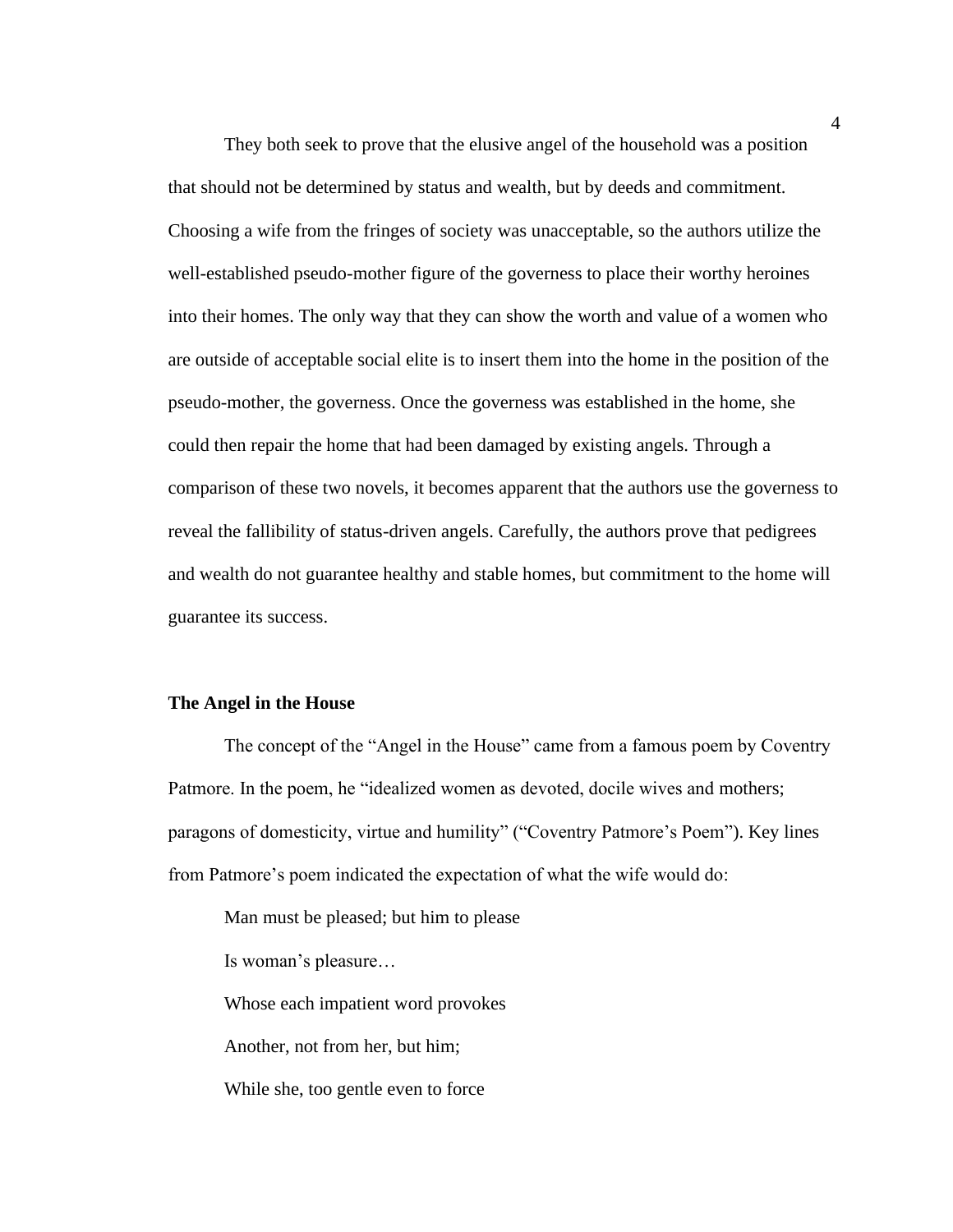They both seek to prove that the elusive angel of the household was a position that should not be determined by status and wealth, but by deeds and commitment. Choosing a wife from the fringes of society was unacceptable, so the authors utilize the well-established pseudo-mother figure of the governess to place their worthy heroines into their homes. The only way that they can show the worth and value of a women who are outside of acceptable social elite is to insert them into the home in the position of the pseudo-mother, the governess. Once the governess was established in the home, she could then repair the home that had been damaged by existing angels. Through a comparison of these two novels, it becomes apparent that the authors use the governess to reveal the fallibility of status-driven angels. Carefully, the authors prove that pedigrees and wealth do not guarantee healthy and stable homes, but commitment to the home will guarantee its success.

### **The Angel in the House**

The concept of the "Angel in the House" came from a famous poem by Coventry Patmore. In the poem, he "idealized women as devoted, docile wives and mothers; paragons of domesticity, virtue and humility" ("Coventry Patmore's Poem"). Key lines from Patmore's poem indicated the expectation of what the wife would do:

Man must be pleased; but him to please

Is woman's pleasure…

Whose each impatient word provokes

Another, not from her, but him;

While she, too gentle even to force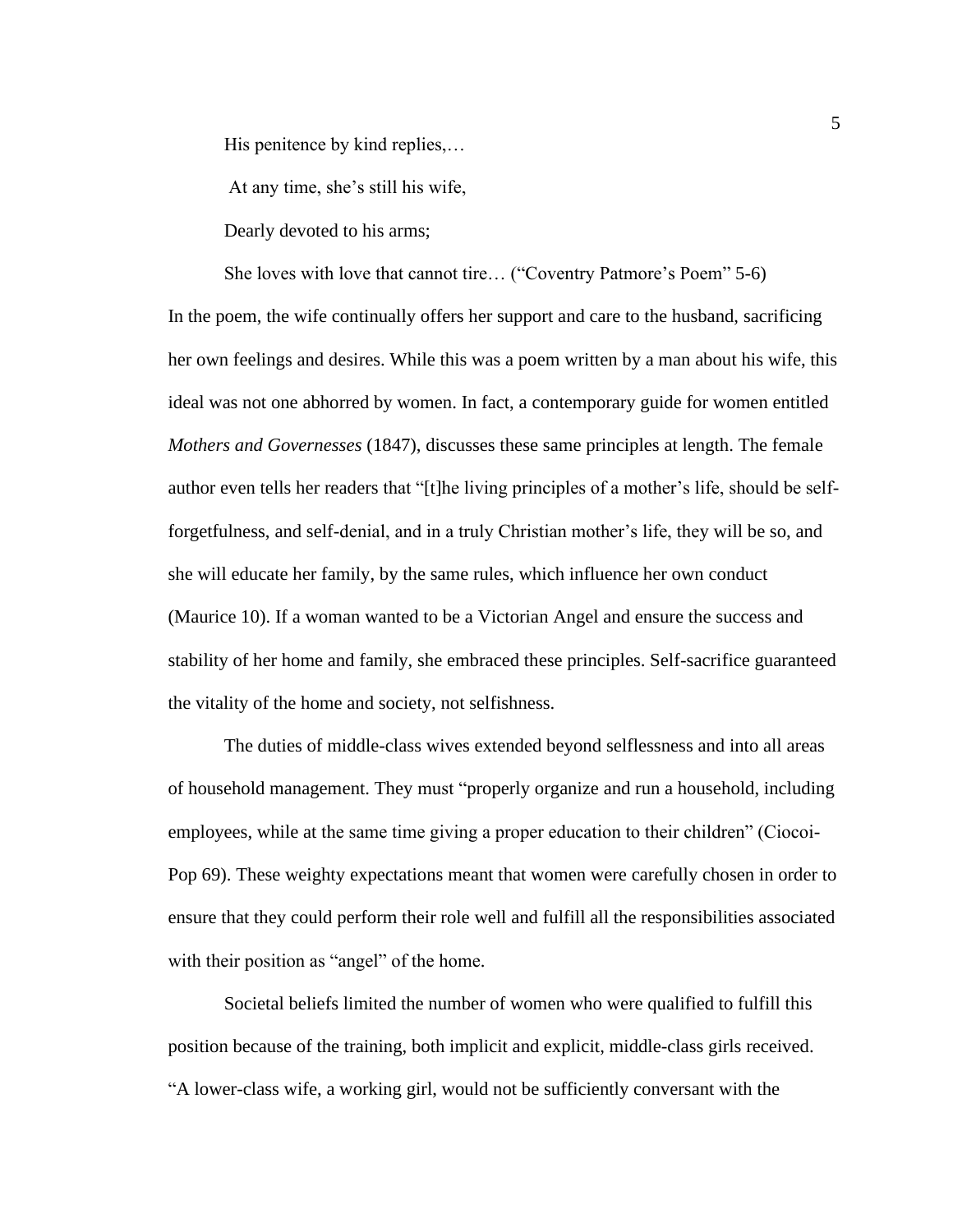His penitence by kind replies,…

At any time, she's still his wife,

Dearly devoted to his arms;

She loves with love that cannot tire… ("Coventry Patmore's Poem" 5-6) In the poem, the wife continually offers her support and care to the husband, sacrificing her own feelings and desires. While this was a poem written by a man about his wife, this ideal was not one abhorred by women. In fact, a contemporary guide for women entitled *Mothers and Governesses* (1847), discusses these same principles at length. The female author even tells her readers that "[t]he living principles of a mother's life, should be selfforgetfulness, and self-denial, and in a truly Christian mother's life, they will be so, and she will educate her family, by the same rules, which influence her own conduct (Maurice 10). If a woman wanted to be a Victorian Angel and ensure the success and stability of her home and family, she embraced these principles. Self-sacrifice guaranteed the vitality of the home and society, not selfishness.

The duties of middle-class wives extended beyond selflessness and into all areas of household management. They must "properly organize and run a household, including employees, while at the same time giving a proper education to their children" (Ciocoi-Pop 69). These weighty expectations meant that women were carefully chosen in order to ensure that they could perform their role well and fulfill all the responsibilities associated with their position as "angel" of the home.

Societal beliefs limited the number of women who were qualified to fulfill this position because of the training, both implicit and explicit, middle-class girls received. "A lower-class wife, a working girl, would not be sufficiently conversant with the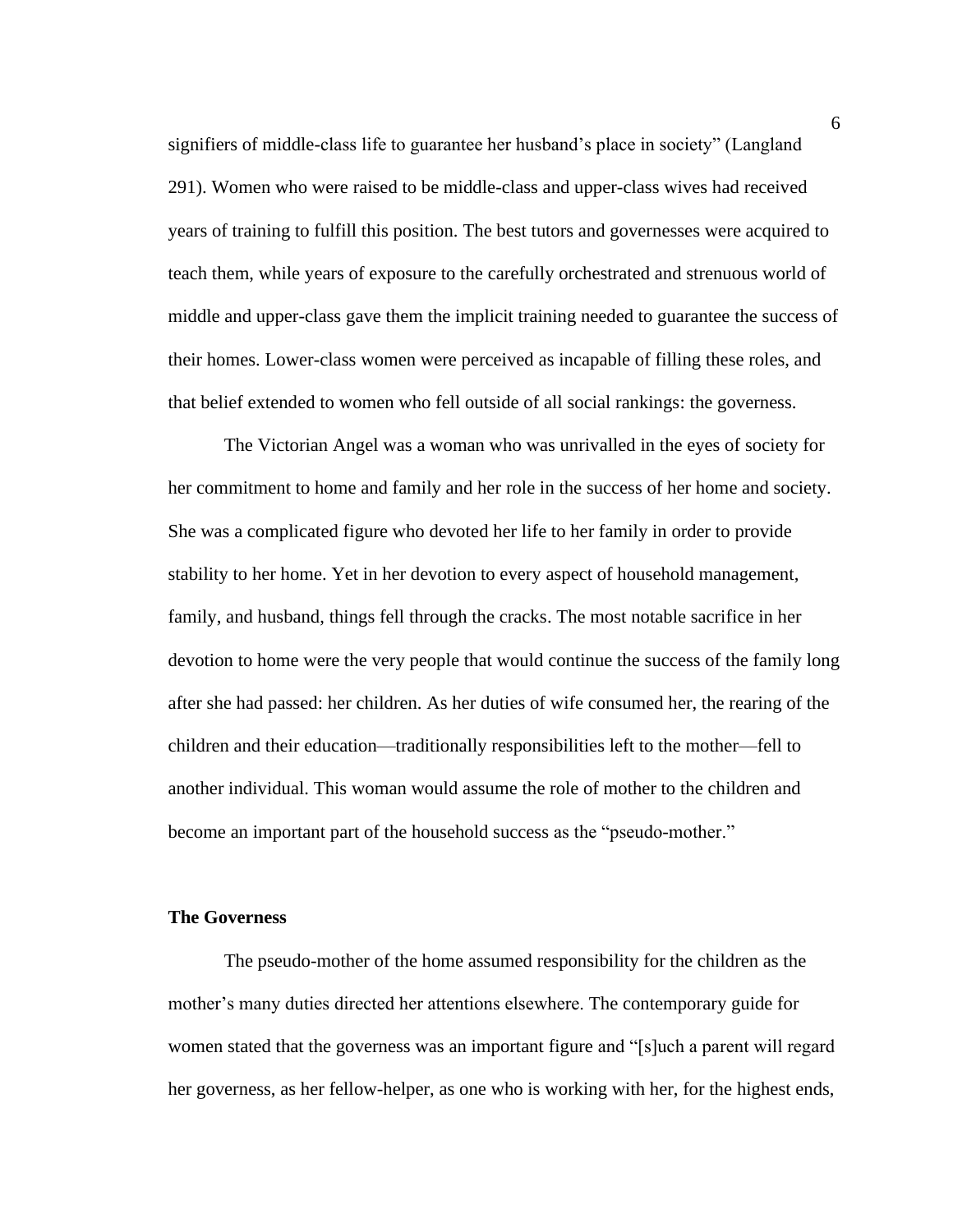signifiers of middle-class life to guarantee her husband's place in society" (Langland 291). Women who were raised to be middle-class and upper-class wives had received years of training to fulfill this position. The best tutors and governesses were acquired to teach them, while years of exposure to the carefully orchestrated and strenuous world of middle and upper-class gave them the implicit training needed to guarantee the success of their homes. Lower-class women were perceived as incapable of filling these roles, and that belief extended to women who fell outside of all social rankings: the governess.

The Victorian Angel was a woman who was unrivalled in the eyes of society for her commitment to home and family and her role in the success of her home and society. She was a complicated figure who devoted her life to her family in order to provide stability to her home. Yet in her devotion to every aspect of household management, family, and husband, things fell through the cracks. The most notable sacrifice in her devotion to home were the very people that would continue the success of the family long after she had passed: her children. As her duties of wife consumed her, the rearing of the children and their education—traditionally responsibilities left to the mother—fell to another individual. This woman would assume the role of mother to the children and become an important part of the household success as the "pseudo-mother."

#### **The Governess**

The pseudo-mother of the home assumed responsibility for the children as the mother's many duties directed her attentions elsewhere. The contemporary guide for women stated that the governess was an important figure and "[s]uch a parent will regard her governess, as her fellow-helper, as one who is working with her, for the highest ends,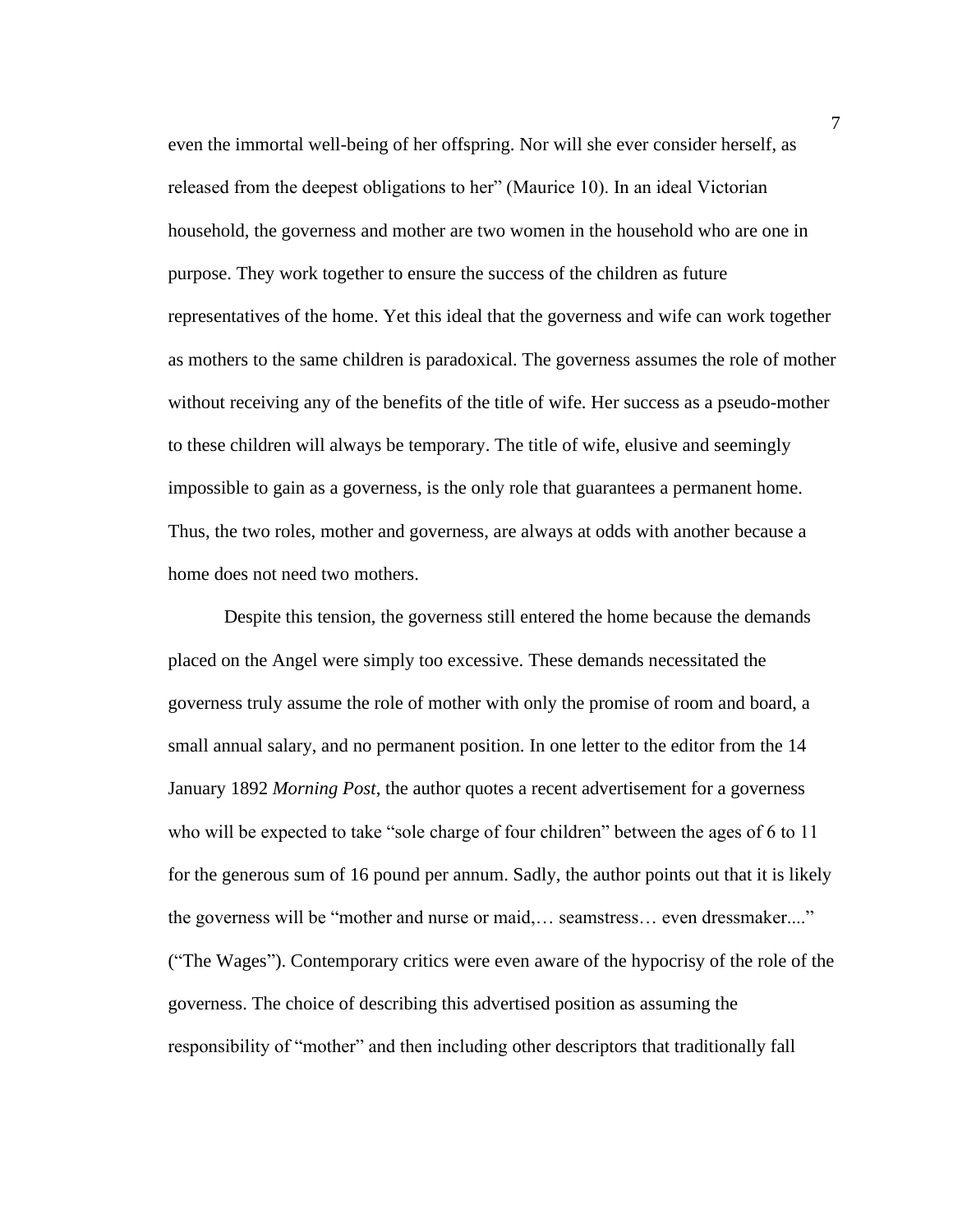even the immortal well-being of her offspring. Nor will she ever consider herself, as released from the deepest obligations to her" (Maurice 10). In an ideal Victorian household, the governess and mother are two women in the household who are one in purpose. They work together to ensure the success of the children as future representatives of the home. Yet this ideal that the governess and wife can work together as mothers to the same children is paradoxical. The governess assumes the role of mother without receiving any of the benefits of the title of wife. Her success as a pseudo-mother to these children will always be temporary. The title of wife, elusive and seemingly impossible to gain as a governess, is the only role that guarantees a permanent home. Thus, the two roles, mother and governess, are always at odds with another because a home does not need two mothers.

Despite this tension, the governess still entered the home because the demands placed on the Angel were simply too excessive. These demands necessitated the governess truly assume the role of mother with only the promise of room and board, a small annual salary, and no permanent position. In one letter to the editor from the 14 January 1892 *Morning Post*, the author quotes a recent advertisement for a governess who will be expected to take "sole charge of four children" between the ages of 6 to 11 for the generous sum of 16 pound per annum. Sadly, the author points out that it is likely the governess will be "mother and nurse or maid,… seamstress… even dressmaker...." ("The Wages"). Contemporary critics were even aware of the hypocrisy of the role of the governess. The choice of describing this advertised position as assuming the responsibility of "mother" and then including other descriptors that traditionally fall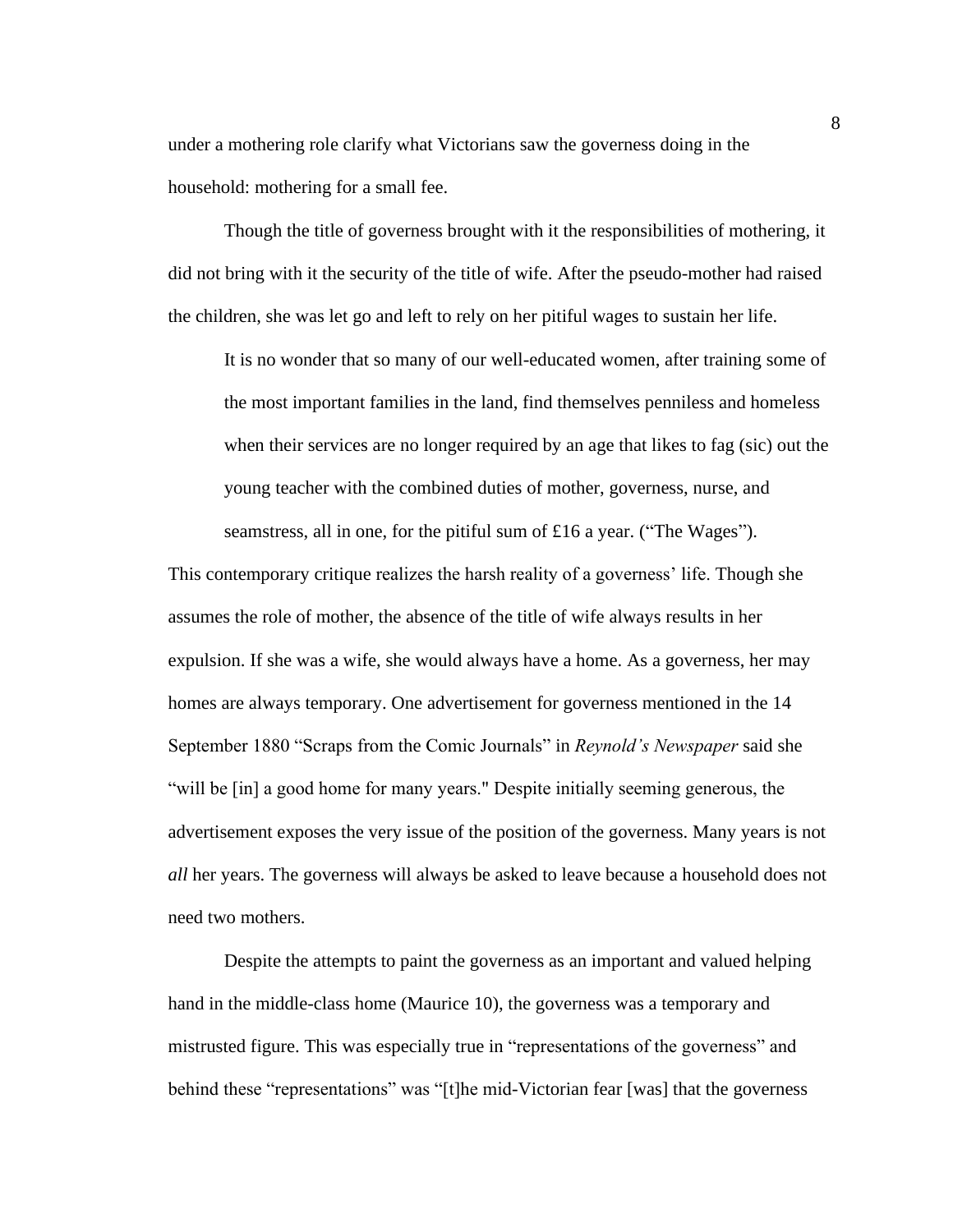under a mothering role clarify what Victorians saw the governess doing in the household: mothering for a small fee.

Though the title of governess brought with it the responsibilities of mothering, it did not bring with it the security of the title of wife. After the pseudo-mother had raised the children, she was let go and left to rely on her pitiful wages to sustain her life.

It is no wonder that so many of our well-educated women, after training some of the most important families in the land, find themselves penniless and homeless when their services are no longer required by an age that likes to fag (sic) out the young teacher with the combined duties of mother, governess, nurse, and seamstress, all in one, for the pitiful sum of £16 a year. ("The Wages").

This contemporary critique realizes the harsh reality of a governess' life. Though she assumes the role of mother, the absence of the title of wife always results in her expulsion. If she was a wife, she would always have a home. As a governess, her may homes are always temporary. One advertisement for governess mentioned in the 14 September 1880 "Scraps from the Comic Journals" in *Reynold's Newspaper* said she "will be [in] a good home for many years." Despite initially seeming generous, the advertisement exposes the very issue of the position of the governess. Many years is not *all* her years. The governess will always be asked to leave because a household does not need two mothers.

Despite the attempts to paint the governess as an important and valued helping hand in the middle-class home (Maurice 10), the governess was a temporary and mistrusted figure. This was especially true in "representations of the governess" and behind these "representations" was "[t]he mid-Victorian fear [was] that the governess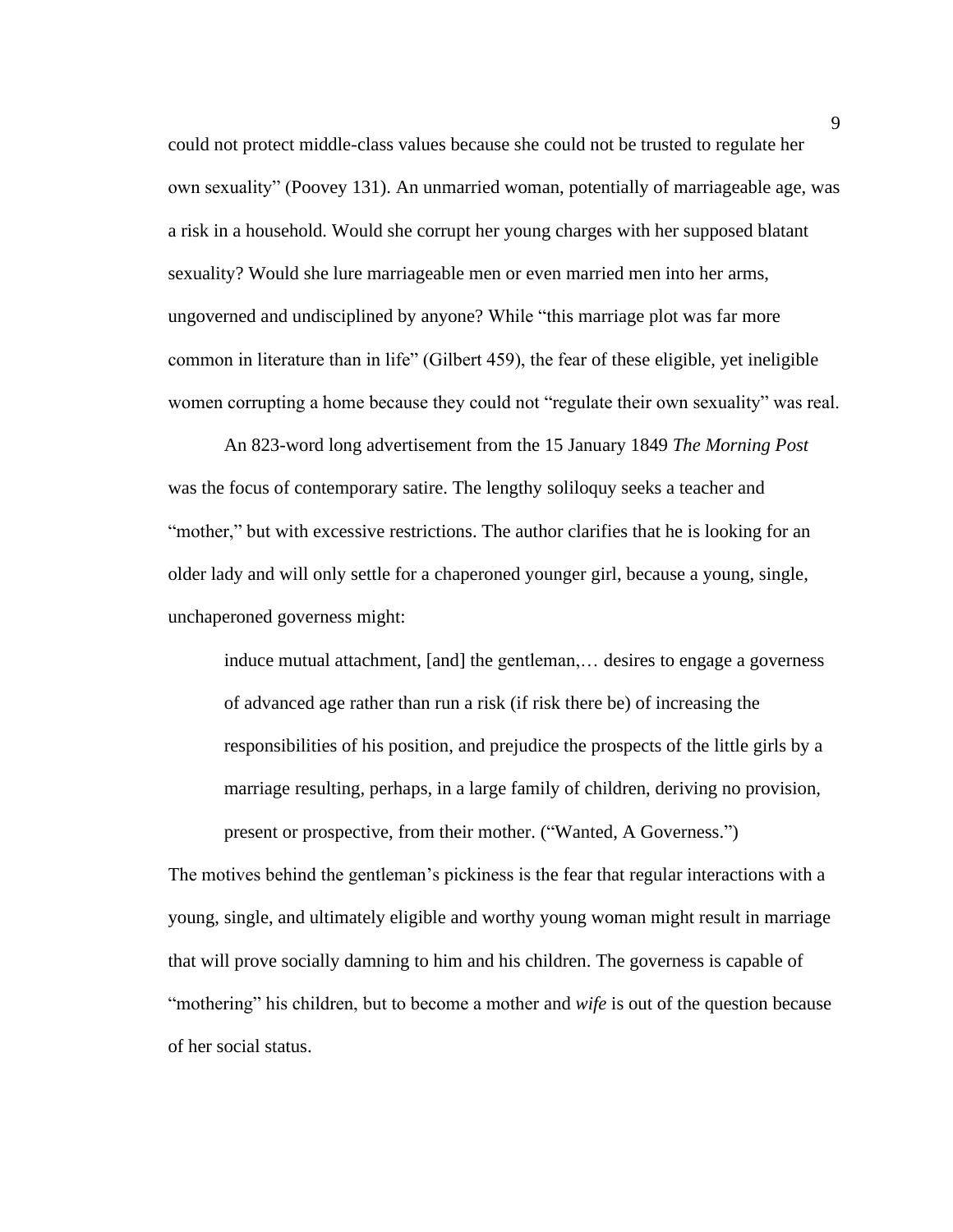could not protect middle-class values because she could not be trusted to regulate her own sexuality" (Poovey 131). An unmarried woman, potentially of marriageable age, was a risk in a household. Would she corrupt her young charges with her supposed blatant sexuality? Would she lure marriageable men or even married men into her arms, ungoverned and undisciplined by anyone? While "this marriage plot was far more common in literature than in life" (Gilbert 459), the fear of these eligible, yet ineligible women corrupting a home because they could not "regulate their own sexuality" was real.

An 823-word long advertisement from the 15 January 1849 *The Morning Post*  was the focus of contemporary satire. The lengthy soliloquy seeks a teacher and "mother," but with excessive restrictions. The author clarifies that he is looking for an older lady and will only settle for a chaperoned younger girl, because a young, single, unchaperoned governess might:

induce mutual attachment, [and] the gentleman,… desires to engage a governess of advanced age rather than run a risk (if risk there be) of increasing the responsibilities of his position, and prejudice the prospects of the little girls by a marriage resulting, perhaps, in a large family of children, deriving no provision, present or prospective, from their mother. ("Wanted, A Governess.")

The motives behind the gentleman's pickiness is the fear that regular interactions with a young, single, and ultimately eligible and worthy young woman might result in marriage that will prove socially damning to him and his children. The governess is capable of "mothering" his children, but to become a mother and *wife* is out of the question because of her social status.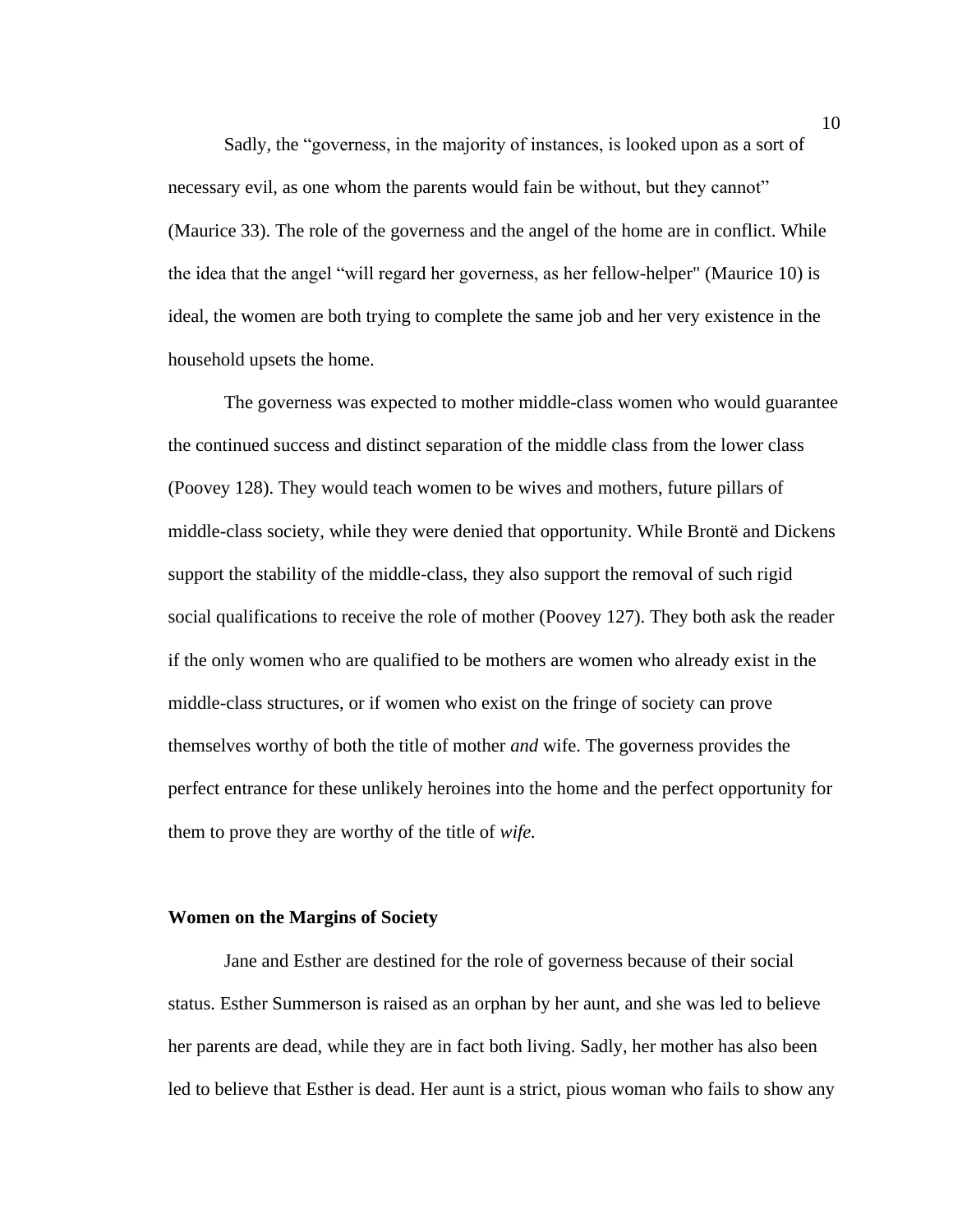Sadly, the "governess, in the majority of instances, is looked upon as a sort of necessary evil, as one whom the parents would fain be without, but they cannot" (Maurice 33). The role of the governess and the angel of the home are in conflict. While the idea that the angel "will regard her governess, as her fellow-helper" (Maurice 10) is ideal, the women are both trying to complete the same job and her very existence in the household upsets the home.

The governess was expected to mother middle-class women who would guarantee the continued success and distinct separation of the middle class from the lower class (Poovey 128). They would teach women to be wives and mothers, future pillars of middle-class society, while they were denied that opportunity. While Brontë and Dickens support the stability of the middle-class, they also support the removal of such rigid social qualifications to receive the role of mother (Poovey 127). They both ask the reader if the only women who are qualified to be mothers are women who already exist in the middle-class structures, or if women who exist on the fringe of society can prove themselves worthy of both the title of mother *and* wife. The governess provides the perfect entrance for these unlikely heroines into the home and the perfect opportunity for them to prove they are worthy of the title of *wife.* 

#### **Women on the Margins of Society**

Jane and Esther are destined for the role of governess because of their social status. Esther Summerson is raised as an orphan by her aunt, and she was led to believe her parents are dead, while they are in fact both living. Sadly, her mother has also been led to believe that Esther is dead. Her aunt is a strict, pious woman who fails to show any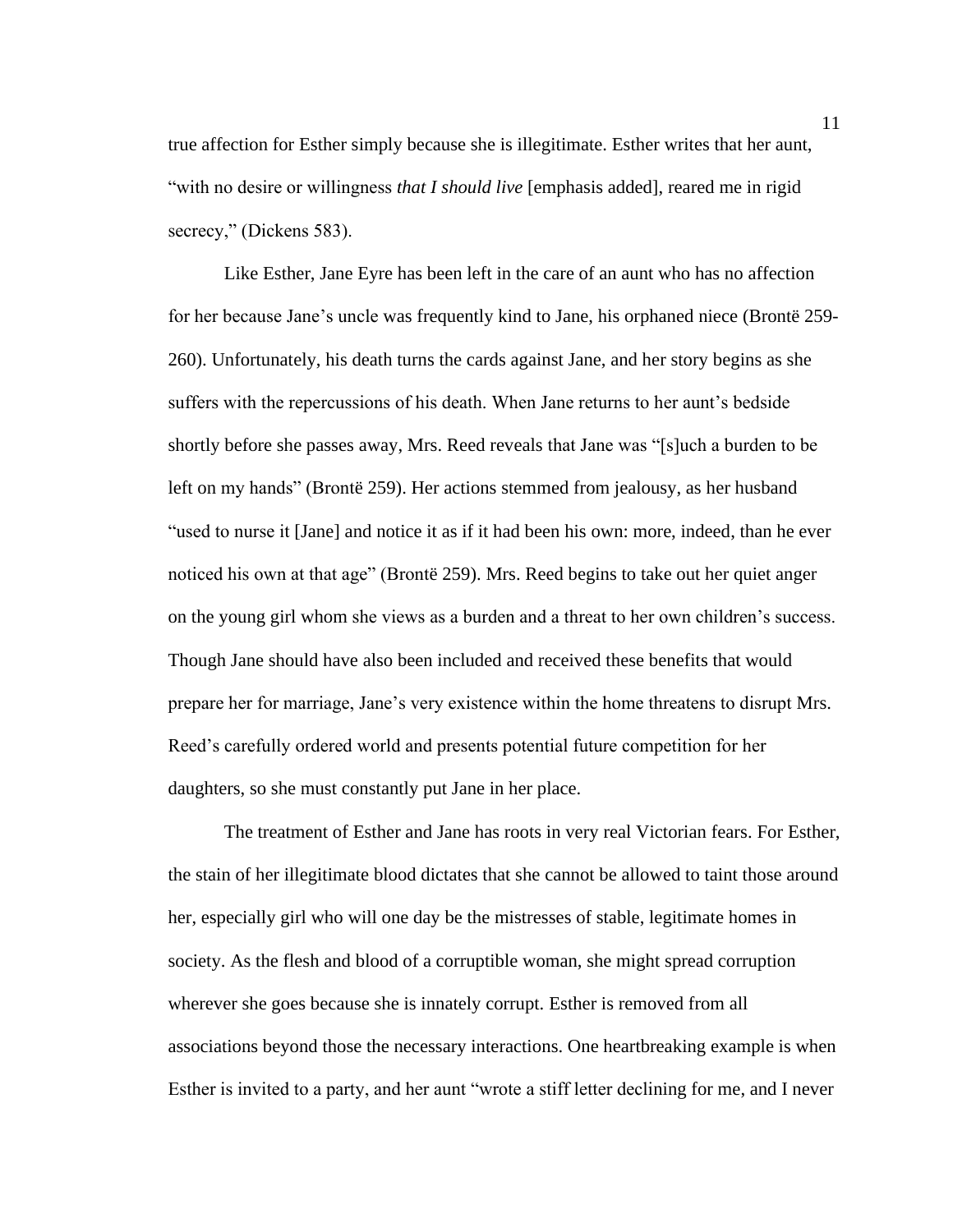true affection for Esther simply because she is illegitimate. Esther writes that her aunt, "with no desire or willingness *that I should live* [emphasis added], reared me in rigid secrecy," (Dickens 583).

Like Esther, Jane Eyre has been left in the care of an aunt who has no affection for her because Jane's uncle was frequently kind to Jane, his orphaned niece (Brontë 259- 260). Unfortunately, his death turns the cards against Jane, and her story begins as she suffers with the repercussions of his death. When Jane returns to her aunt's bedside shortly before she passes away, Mrs. Reed reveals that Jane was "[s]uch a burden to be left on my hands" (Brontë 259). Her actions stemmed from jealousy, as her husband "used to nurse it [Jane] and notice it as if it had been his own: more, indeed, than he ever noticed his own at that age" (Brontë 259). Mrs. Reed begins to take out her quiet anger on the young girl whom she views as a burden and a threat to her own children's success. Though Jane should have also been included and received these benefits that would prepare her for marriage, Jane's very existence within the home threatens to disrupt Mrs. Reed's carefully ordered world and presents potential future competition for her daughters, so she must constantly put Jane in her place.

The treatment of Esther and Jane has roots in very real Victorian fears. For Esther, the stain of her illegitimate blood dictates that she cannot be allowed to taint those around her, especially girl who will one day be the mistresses of stable, legitimate homes in society. As the flesh and blood of a corruptible woman, she might spread corruption wherever she goes because she is innately corrupt. Esther is removed from all associations beyond those the necessary interactions. One heartbreaking example is when Esther is invited to a party, and her aunt "wrote a stiff letter declining for me, and I never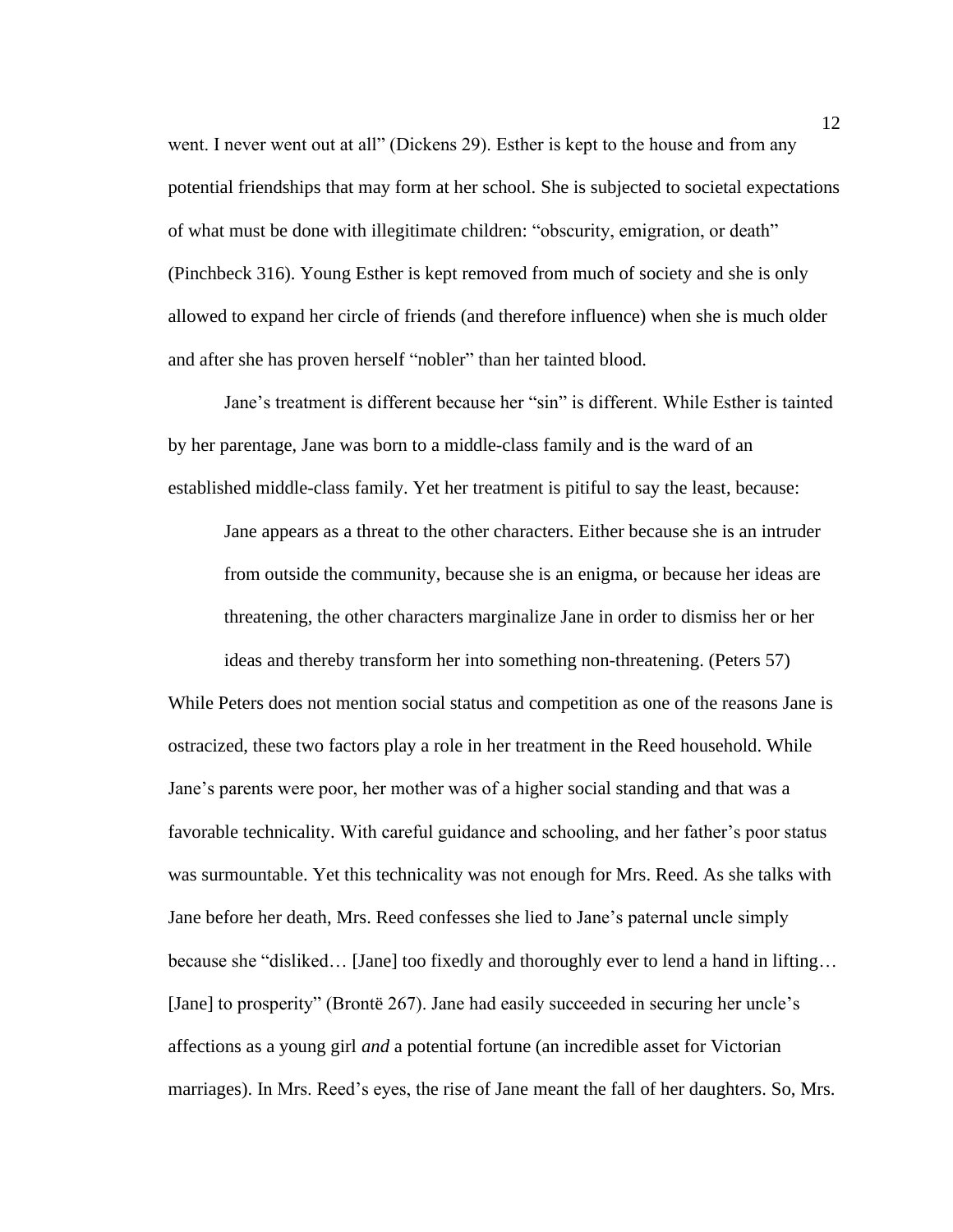went. I never went out at all" (Dickens 29). Esther is kept to the house and from any potential friendships that may form at her school. She is subjected to societal expectations of what must be done with illegitimate children: "obscurity, emigration, or death" (Pinchbeck 316). Young Esther is kept removed from much of society and she is only allowed to expand her circle of friends (and therefore influence) when she is much older and after she has proven herself "nobler" than her tainted blood.

Jane's treatment is different because her "sin" is different. While Esther is tainted by her parentage, Jane was born to a middle-class family and is the ward of an established middle-class family. Yet her treatment is pitiful to say the least, because:

Jane appears as a threat to the other characters. Either because she is an intruder from outside the community, because she is an enigma, or because her ideas are threatening, the other characters marginalize Jane in order to dismiss her or her ideas and thereby transform her into something non-threatening. (Peters 57)

While Peters does not mention social status and competition as one of the reasons Jane is ostracized, these two factors play a role in her treatment in the Reed household. While Jane's parents were poor, her mother was of a higher social standing and that was a favorable technicality. With careful guidance and schooling, and her father's poor status was surmountable. Yet this technicality was not enough for Mrs. Reed. As she talks with Jane before her death, Mrs. Reed confesses she lied to Jane's paternal uncle simply because she "disliked… [Jane] too fixedly and thoroughly ever to lend a hand in lifting… [Jane] to prosperity" (Brontë 267). Jane had easily succeeded in securing her uncle's affections as a young girl *and* a potential fortune (an incredible asset for Victorian marriages). In Mrs. Reed's eyes, the rise of Jane meant the fall of her daughters. So, Mrs.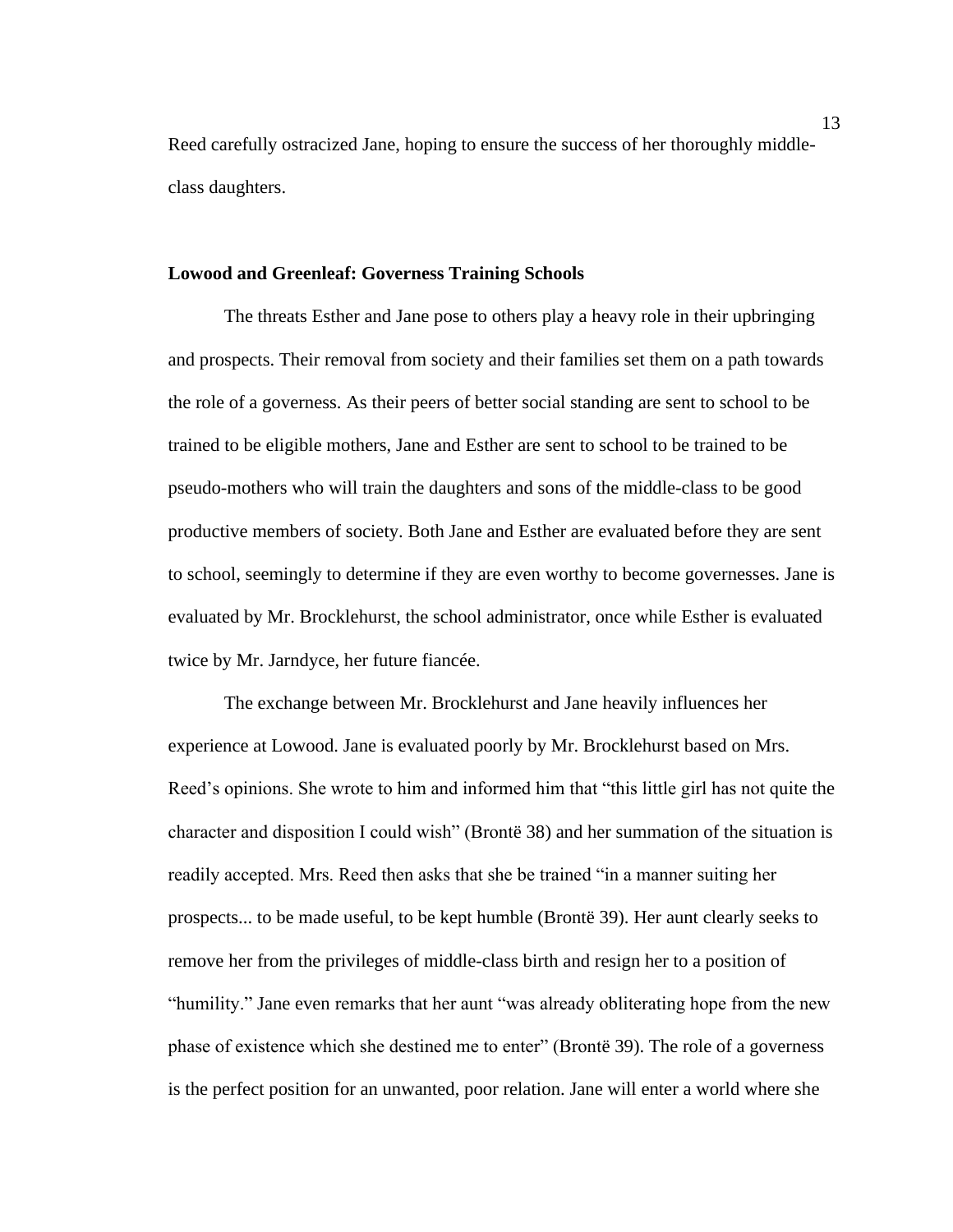Reed carefully ostracized Jane, hoping to ensure the success of her thoroughly middleclass daughters.

#### **Lowood and Greenleaf: Governess Training Schools**

The threats Esther and Jane pose to others play a heavy role in their upbringing and prospects. Their removal from society and their families set them on a path towards the role of a governess. As their peers of better social standing are sent to school to be trained to be eligible mothers, Jane and Esther are sent to school to be trained to be pseudo-mothers who will train the daughters and sons of the middle-class to be good productive members of society. Both Jane and Esther are evaluated before they are sent to school, seemingly to determine if they are even worthy to become governesses. Jane is evaluated by Mr. Brocklehurst, the school administrator, once while Esther is evaluated twice by Mr. Jarndyce, her future fiancée.

The exchange between Mr. Brocklehurst and Jane heavily influences her experience at Lowood. Jane is evaluated poorly by Mr. Brocklehurst based on Mrs. Reed's opinions. She wrote to him and informed him that "this little girl has not quite the character and disposition I could wish" (Brontë 38) and her summation of the situation is readily accepted. Mrs. Reed then asks that she be trained "in a manner suiting her prospects... to be made useful, to be kept humble (Brontë 39). Her aunt clearly seeks to remove her from the privileges of middle-class birth and resign her to a position of "humility." Jane even remarks that her aunt "was already obliterating hope from the new phase of existence which she destined me to enter" (Brontë 39). The role of a governess is the perfect position for an unwanted, poor relation. Jane will enter a world where she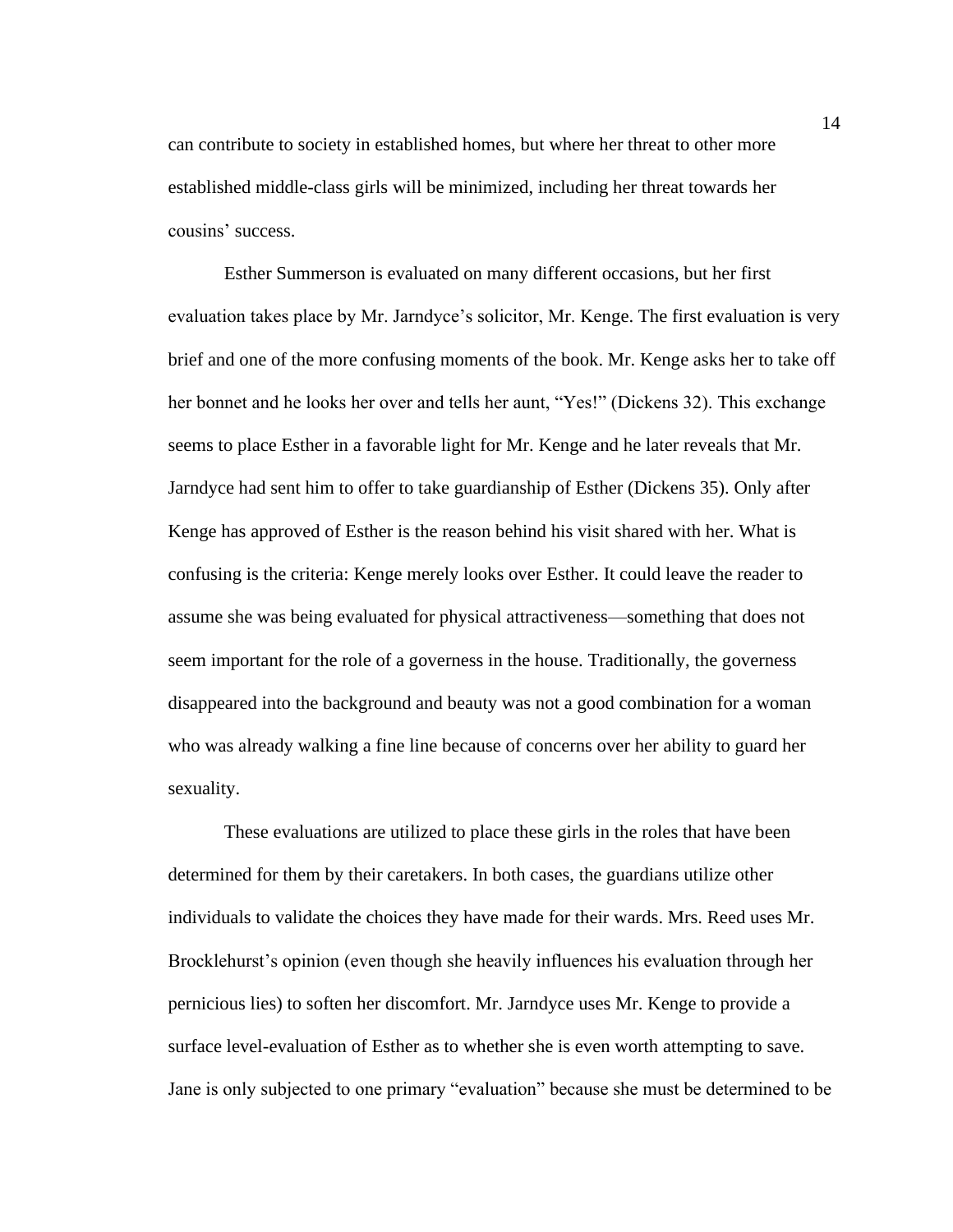can contribute to society in established homes, but where her threat to other more established middle-class girls will be minimized, including her threat towards her cousins' success.

Esther Summerson is evaluated on many different occasions, but her first evaluation takes place by Mr. Jarndyce's solicitor, Mr. Kenge. The first evaluation is very brief and one of the more confusing moments of the book. Mr. Kenge asks her to take off her bonnet and he looks her over and tells her aunt, "Yes!" (Dickens 32). This exchange seems to place Esther in a favorable light for Mr. Kenge and he later reveals that Mr. Jarndyce had sent him to offer to take guardianship of Esther (Dickens 35). Only after Kenge has approved of Esther is the reason behind his visit shared with her. What is confusing is the criteria: Kenge merely looks over Esther. It could leave the reader to assume she was being evaluated for physical attractiveness—something that does not seem important for the role of a governess in the house. Traditionally, the governess disappeared into the background and beauty was not a good combination for a woman who was already walking a fine line because of concerns over her ability to guard her sexuality.

These evaluations are utilized to place these girls in the roles that have been determined for them by their caretakers. In both cases, the guardians utilize other individuals to validate the choices they have made for their wards. Mrs. Reed uses Mr. Brocklehurst's opinion (even though she heavily influences his evaluation through her pernicious lies) to soften her discomfort. Mr. Jarndyce uses Mr. Kenge to provide a surface level-evaluation of Esther as to whether she is even worth attempting to save. Jane is only subjected to one primary "evaluation" because she must be determined to be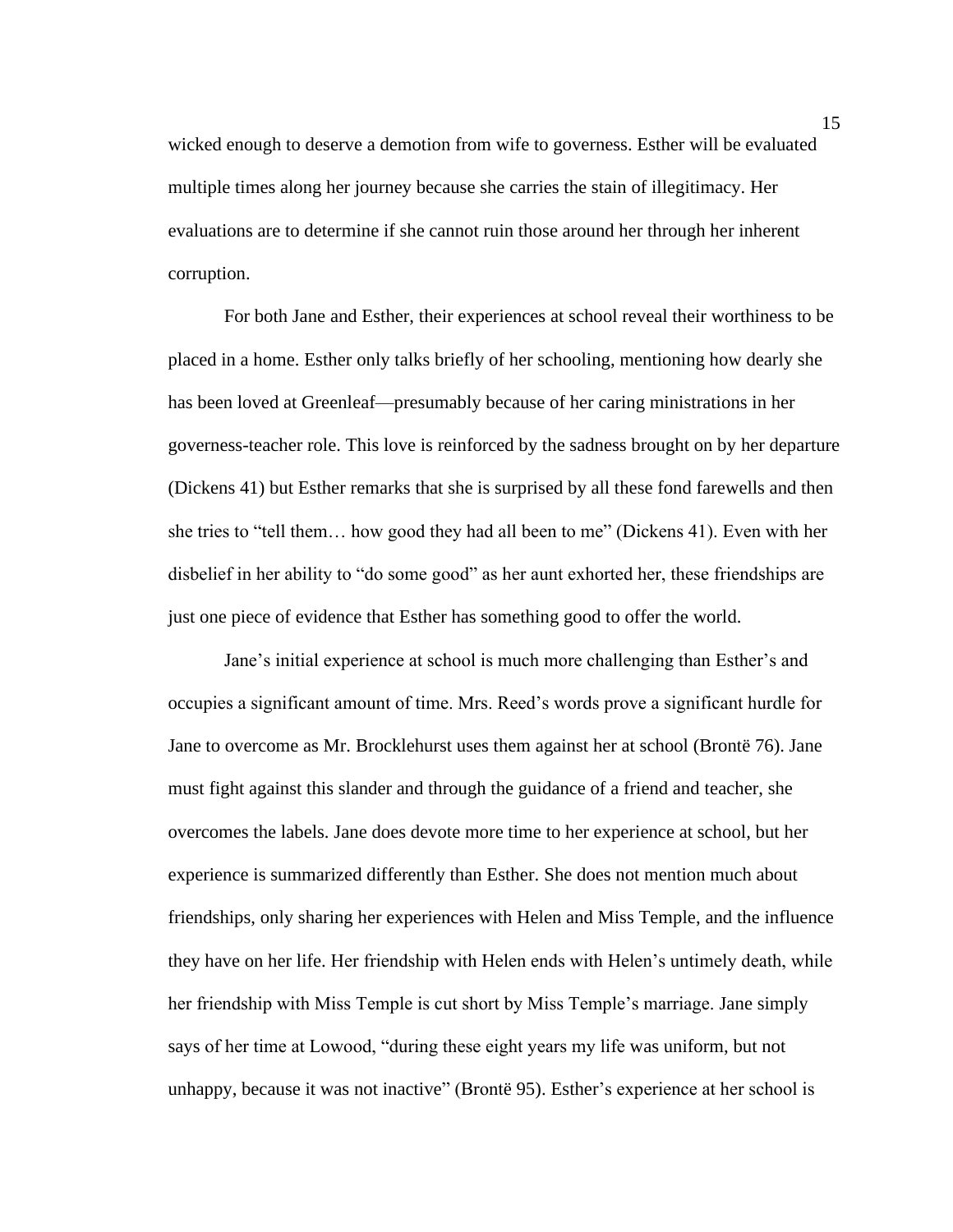wicked enough to deserve a demotion from wife to governess. Esther will be evaluated multiple times along her journey because she carries the stain of illegitimacy. Her evaluations are to determine if she cannot ruin those around her through her inherent corruption.

For both Jane and Esther, their experiences at school reveal their worthiness to be placed in a home. Esther only talks briefly of her schooling, mentioning how dearly she has been loved at Greenleaf—presumably because of her caring ministrations in her governess-teacher role. This love is reinforced by the sadness brought on by her departure (Dickens 41) but Esther remarks that she is surprised by all these fond farewells and then she tries to "tell them… how good they had all been to me" (Dickens 41). Even with her disbelief in her ability to "do some good" as her aunt exhorted her, these friendships are just one piece of evidence that Esther has something good to offer the world.

Jane's initial experience at school is much more challenging than Esther's and occupies a significant amount of time. Mrs. Reed's words prove a significant hurdle for Jane to overcome as Mr. Brocklehurst uses them against her at school (Brontë 76). Jane must fight against this slander and through the guidance of a friend and teacher, she overcomes the labels. Jane does devote more time to her experience at school, but her experience is summarized differently than Esther. She does not mention much about friendships, only sharing her experiences with Helen and Miss Temple, and the influence they have on her life. Her friendship with Helen ends with Helen's untimely death, while her friendship with Miss Temple is cut short by Miss Temple's marriage. Jane simply says of her time at Lowood, "during these eight years my life was uniform, but not unhappy, because it was not inactive" (Brontë 95). Esther's experience at her school is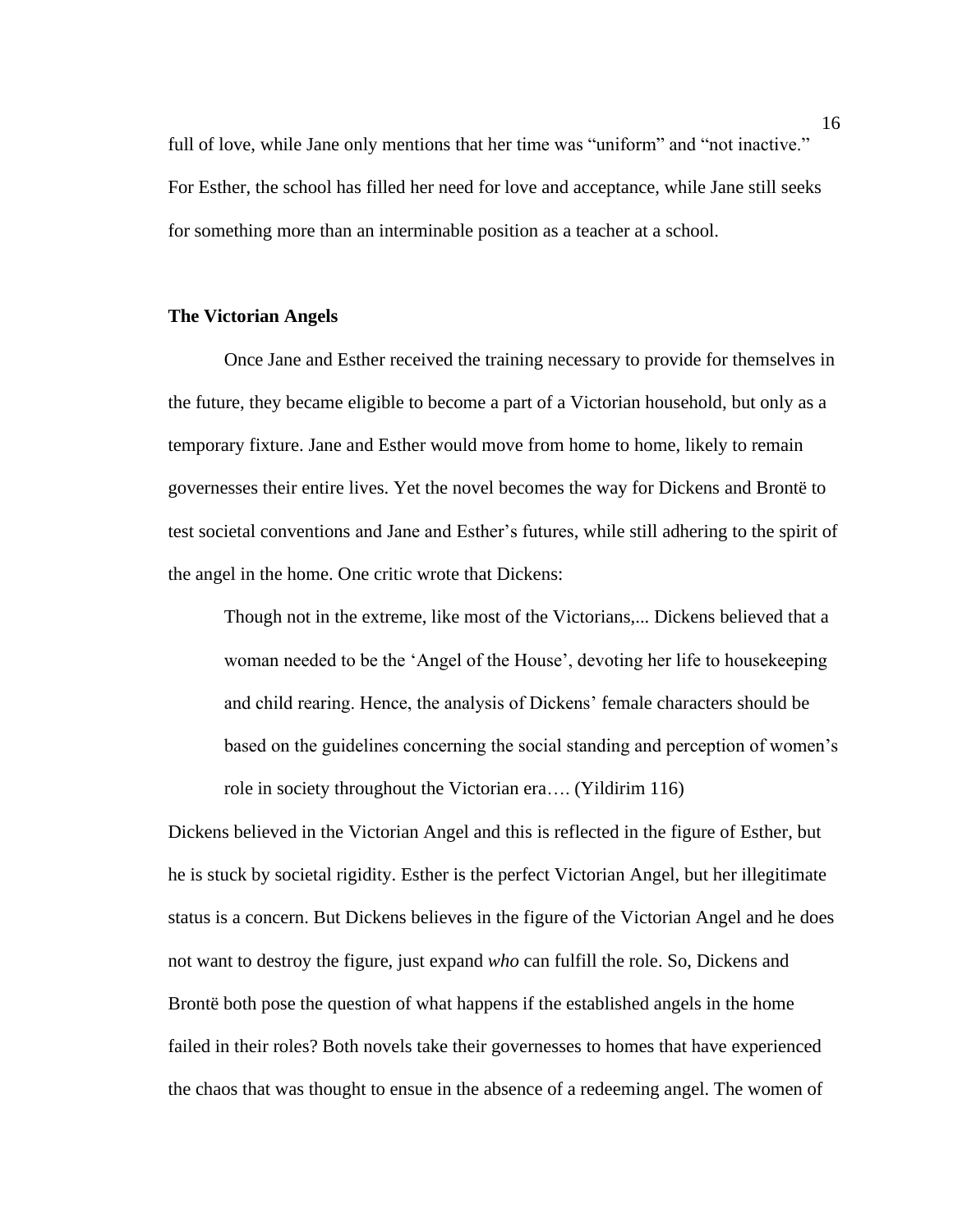full of love, while Jane only mentions that her time was "uniform" and "not inactive." For Esther, the school has filled her need for love and acceptance, while Jane still seeks for something more than an interminable position as a teacher at a school.

#### **The Victorian Angels**

Once Jane and Esther received the training necessary to provide for themselves in the future, they became eligible to become a part of a Victorian household, but only as a temporary fixture. Jane and Esther would move from home to home, likely to remain governesses their entire lives. Yet the novel becomes the way for Dickens and Brontë to test societal conventions and Jane and Esther's futures, while still adhering to the spirit of the angel in the home. One critic wrote that Dickens:

Though not in the extreme, like most of the Victorians,... Dickens believed that a woman needed to be the 'Angel of the House', devoting her life to housekeeping and child rearing. Hence, the analysis of Dickens' female characters should be based on the guidelines concerning the social standing and perception of women's role in society throughout the Victorian era…. (Yildirim 116)

Dickens believed in the Victorian Angel and this is reflected in the figure of Esther, but he is stuck by societal rigidity. Esther is the perfect Victorian Angel, but her illegitimate status is a concern. But Dickens believes in the figure of the Victorian Angel and he does not want to destroy the figure, just expand *who* can fulfill the role. So, Dickens and Brontë both pose the question of what happens if the established angels in the home failed in their roles? Both novels take their governesses to homes that have experienced the chaos that was thought to ensue in the absence of a redeeming angel. The women of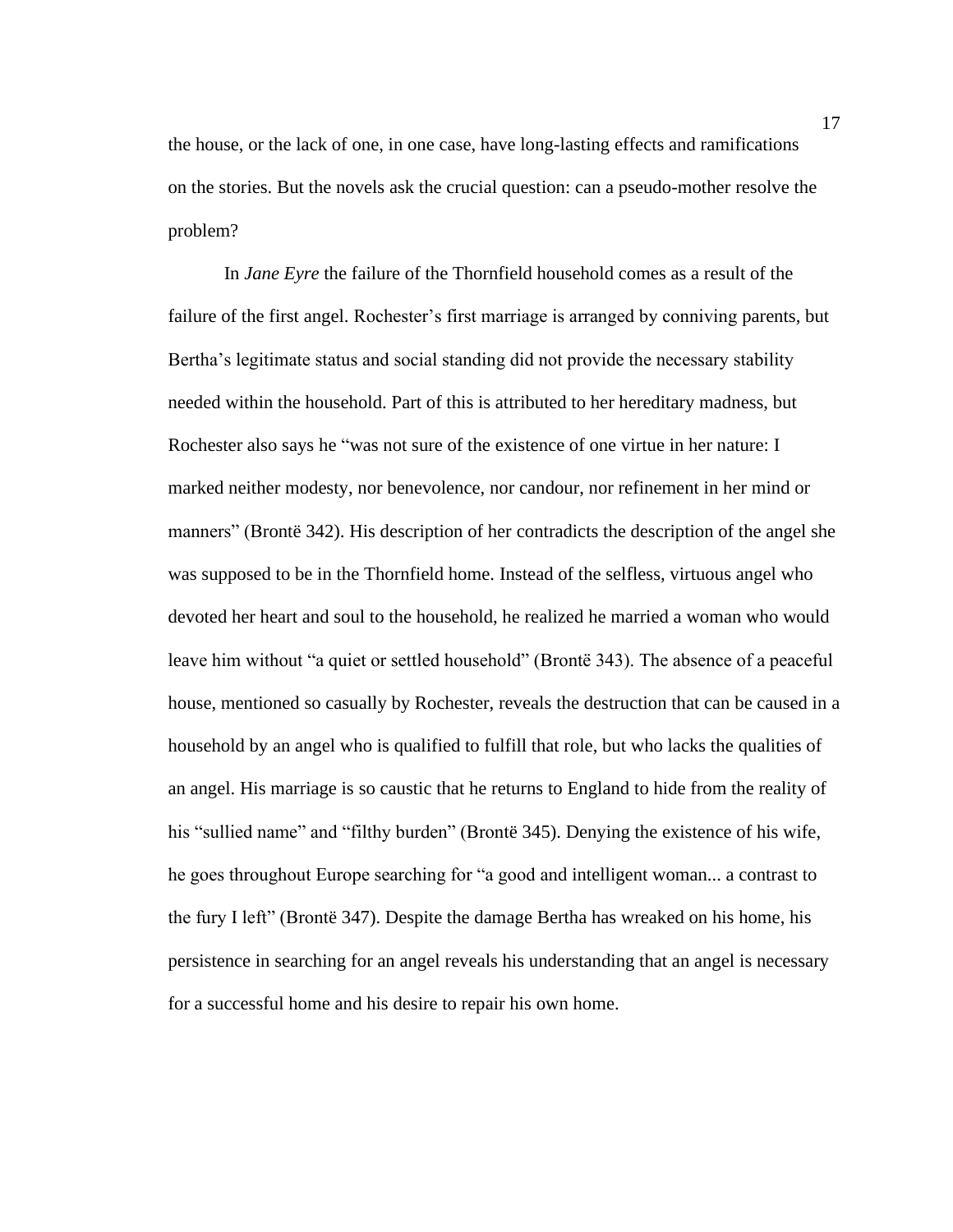the house, or the lack of one, in one case, have long-lasting effects and ramifications on the stories. But the novels ask the crucial question: can a pseudo-mother resolve the problem?

In *Jane Eyre* the failure of the Thornfield household comes as a result of the failure of the first angel. Rochester's first marriage is arranged by conniving parents, but Bertha's legitimate status and social standing did not provide the necessary stability needed within the household. Part of this is attributed to her hereditary madness, but Rochester also says he "was not sure of the existence of one virtue in her nature: I marked neither modesty, nor benevolence, nor candour, nor refinement in her mind or manners" (Brontë 342). His description of her contradicts the description of the angel she was supposed to be in the Thornfield home. Instead of the selfless, virtuous angel who devoted her heart and soul to the household, he realized he married a woman who would leave him without "a quiet or settled household" (Brontë 343). The absence of a peaceful house, mentioned so casually by Rochester, reveals the destruction that can be caused in a household by an angel who is qualified to fulfill that role, but who lacks the qualities of an angel. His marriage is so caustic that he returns to England to hide from the reality of his "sullied name" and "filthy burden" (Brontë 345). Denying the existence of his wife, he goes throughout Europe searching for "a good and intelligent woman... a contrast to the fury I left" (Brontë 347). Despite the damage Bertha has wreaked on his home, his persistence in searching for an angel reveals his understanding that an angel is necessary for a successful home and his desire to repair his own home.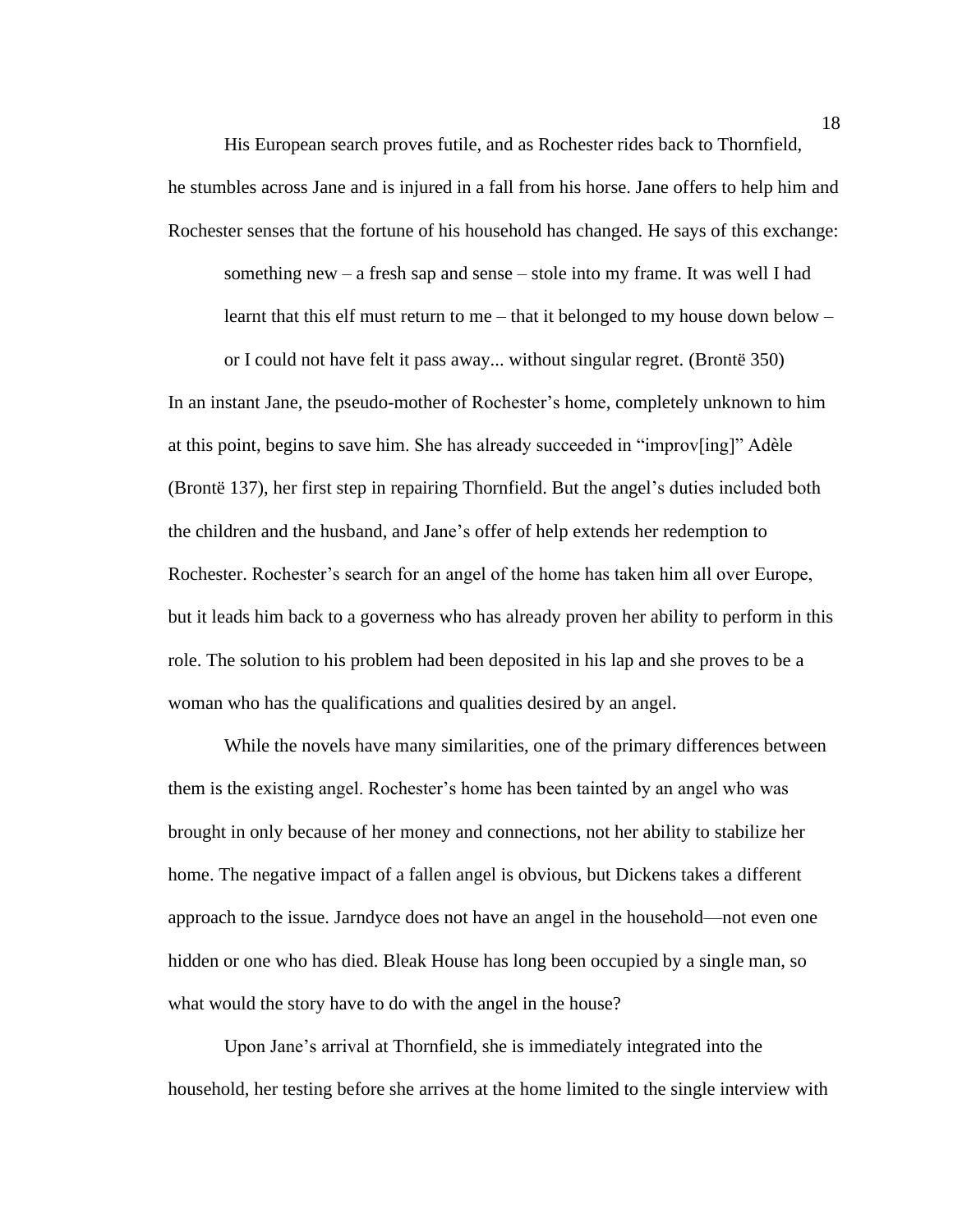His European search proves futile, and as Rochester rides back to Thornfield, he stumbles across Jane and is injured in a fall from his horse. Jane offers to help him and Rochester senses that the fortune of his household has changed. He says of this exchange:

something new – a fresh sap and sense – stole into my frame. It was well I had learnt that this elf must return to me – that it belonged to my house down below –

or I could not have felt it pass away... without singular regret. (Brontë 350) In an instant Jane, the pseudo-mother of Rochester's home, completely unknown to him at this point, begins to save him. She has already succeeded in "improv[ing]" Adèle (Brontë 137), her first step in repairing Thornfield. But the angel's duties included both the children and the husband, and Jane's offer of help extends her redemption to Rochester. Rochester's search for an angel of the home has taken him all over Europe, but it leads him back to a governess who has already proven her ability to perform in this role. The solution to his problem had been deposited in his lap and she proves to be a woman who has the qualifications and qualities desired by an angel.

While the novels have many similarities, one of the primary differences between them is the existing angel. Rochester's home has been tainted by an angel who was brought in only because of her money and connections, not her ability to stabilize her home. The negative impact of a fallen angel is obvious, but Dickens takes a different approach to the issue. Jarndyce does not have an angel in the household—not even one hidden or one who has died. Bleak House has long been occupied by a single man, so what would the story have to do with the angel in the house?

Upon Jane's arrival at Thornfield, she is immediately integrated into the household, her testing before she arrives at the home limited to the single interview with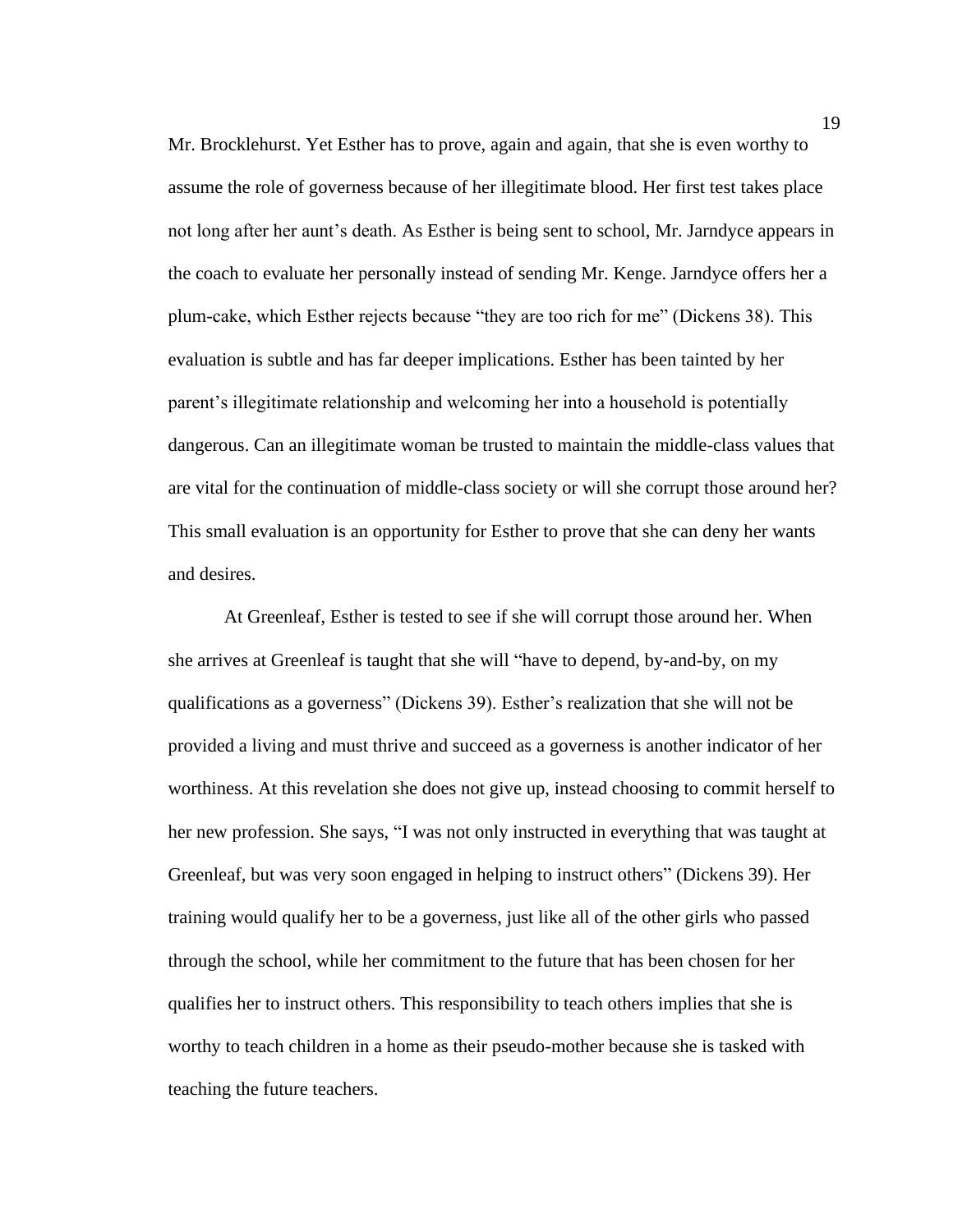Mr. Brocklehurst. Yet Esther has to prove, again and again, that she is even worthy to assume the role of governess because of her illegitimate blood. Her first test takes place not long after her aunt's death. As Esther is being sent to school, Mr. Jarndyce appears in the coach to evaluate her personally instead of sending Mr. Kenge. Jarndyce offers her a plum-cake, which Esther rejects because "they are too rich for me" (Dickens 38). This evaluation is subtle and has far deeper implications. Esther has been tainted by her parent's illegitimate relationship and welcoming her into a household is potentially dangerous. Can an illegitimate woman be trusted to maintain the middle-class values that are vital for the continuation of middle-class society or will she corrupt those around her? This small evaluation is an opportunity for Esther to prove that she can deny her wants and desires.

At Greenleaf, Esther is tested to see if she will corrupt those around her. When she arrives at Greenleaf is taught that she will "have to depend, by-and-by, on my qualifications as a governess" (Dickens 39). Esther's realization that she will not be provided a living and must thrive and succeed as a governess is another indicator of her worthiness. At this revelation she does not give up, instead choosing to commit herself to her new profession. She says, "I was not only instructed in everything that was taught at Greenleaf, but was very soon engaged in helping to instruct others" (Dickens 39). Her training would qualify her to be a governess, just like all of the other girls who passed through the school, while her commitment to the future that has been chosen for her qualifies her to instruct others. This responsibility to teach others implies that she is worthy to teach children in a home as their pseudo-mother because she is tasked with teaching the future teachers.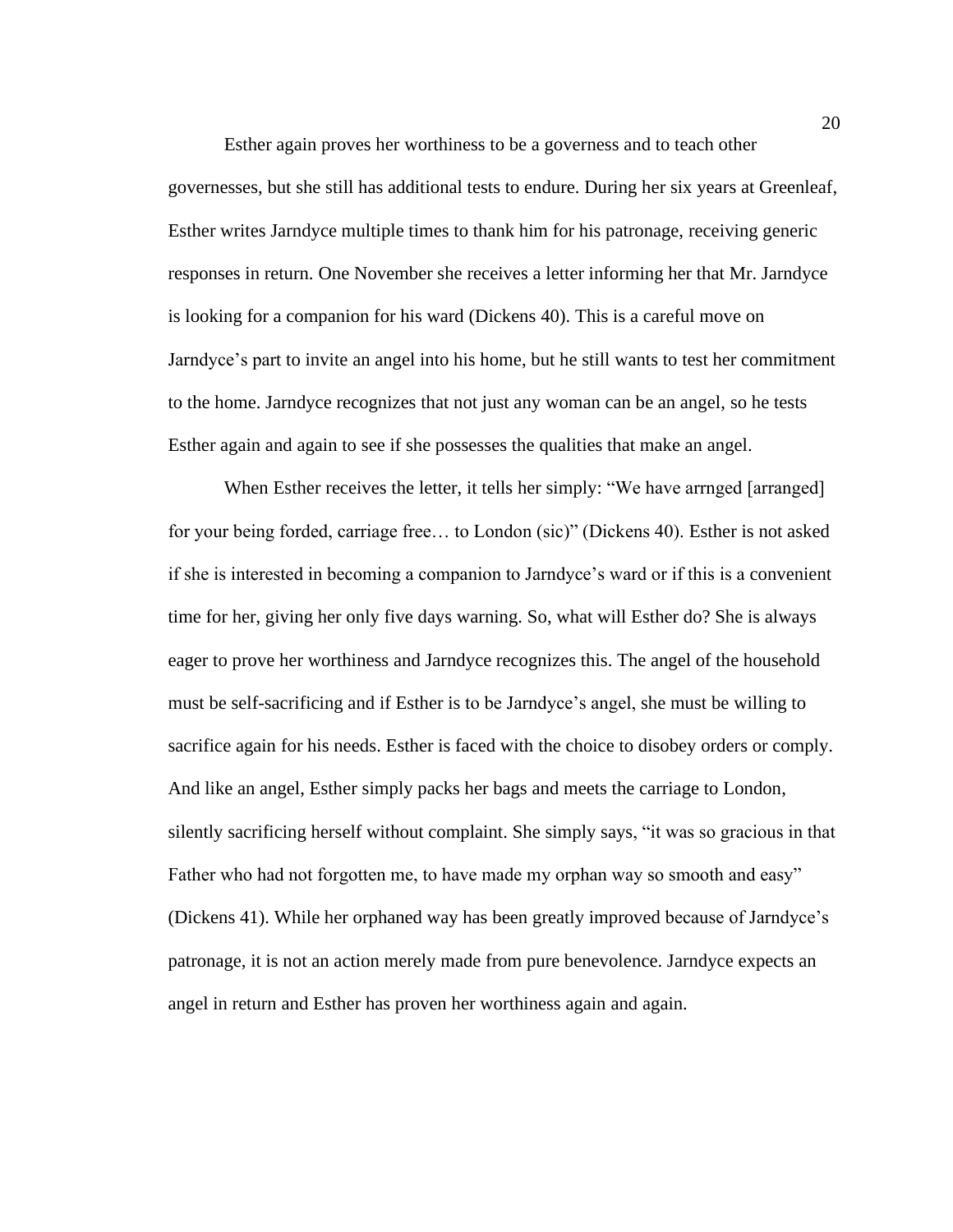Esther again proves her worthiness to be a governess and to teach other governesses, but she still has additional tests to endure. During her six years at Greenleaf, Esther writes Jarndyce multiple times to thank him for his patronage, receiving generic responses in return. One November she receives a letter informing her that Mr. Jarndyce is looking for a companion for his ward (Dickens 40). This is a careful move on Jarndyce's part to invite an angel into his home, but he still wants to test her commitment to the home. Jarndyce recognizes that not just any woman can be an angel, so he tests Esther again and again to see if she possesses the qualities that make an angel.

When Esther receives the letter, it tells her simply: "We have arrnged [arranged] for your being forded, carriage free… to London (sic)" (Dickens 40). Esther is not asked if she is interested in becoming a companion to Jarndyce's ward or if this is a convenient time for her, giving her only five days warning. So, what will Esther do? She is always eager to prove her worthiness and Jarndyce recognizes this. The angel of the household must be self-sacrificing and if Esther is to be Jarndyce's angel, she must be willing to sacrifice again for his needs. Esther is faced with the choice to disobey orders or comply. And like an angel, Esther simply packs her bags and meets the carriage to London, silently sacrificing herself without complaint. She simply says, "it was so gracious in that Father who had not forgotten me, to have made my orphan way so smooth and easy" (Dickens 41). While her orphaned way has been greatly improved because of Jarndyce's patronage, it is not an action merely made from pure benevolence. Jarndyce expects an angel in return and Esther has proven her worthiness again and again.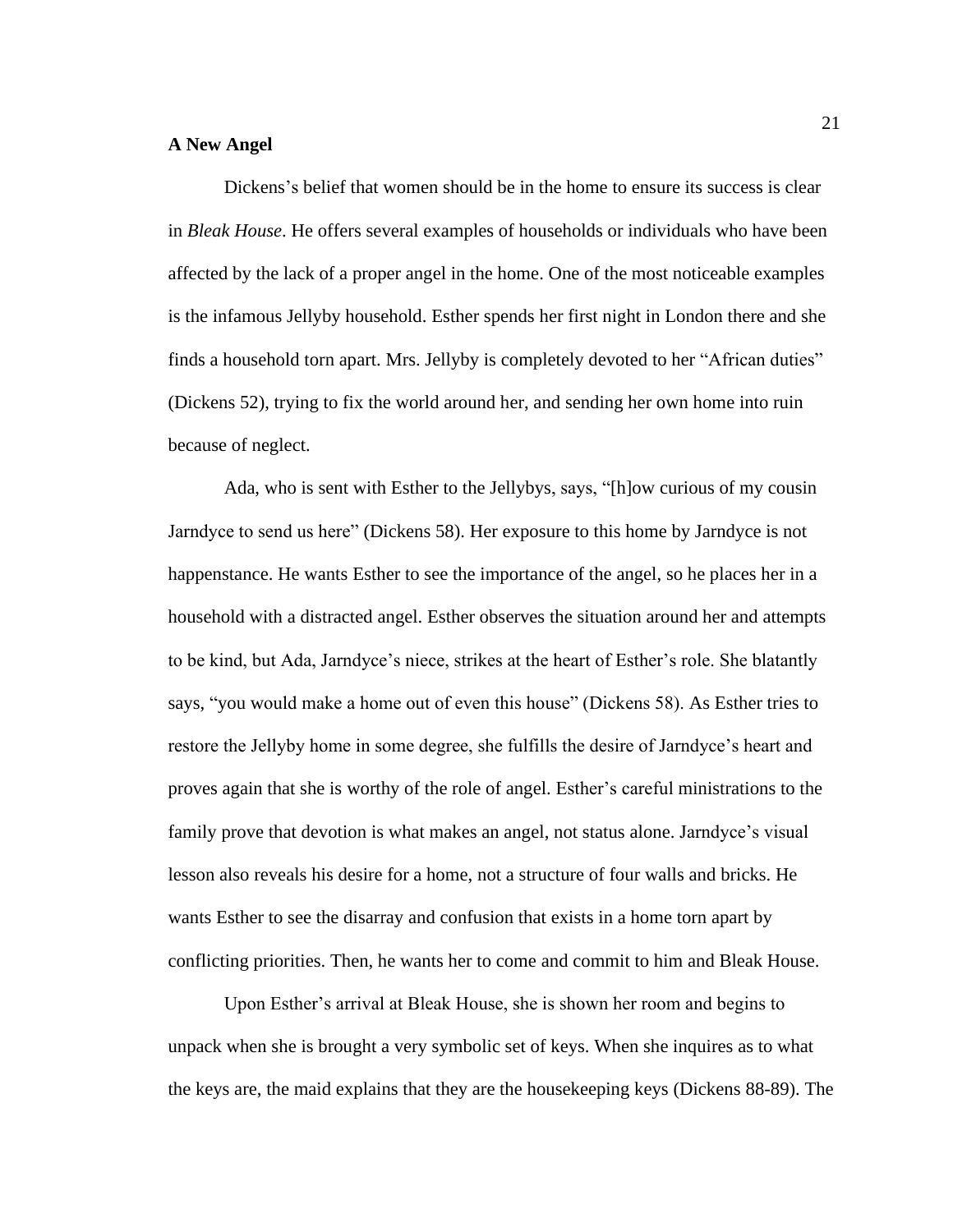# **A New Angel**

Dickens's belief that women should be in the home to ensure its success is clear in *Bleak House*. He offers several examples of households or individuals who have been affected by the lack of a proper angel in the home. One of the most noticeable examples is the infamous Jellyby household. Esther spends her first night in London there and she finds a household torn apart. Mrs. Jellyby is completely devoted to her "African duties" (Dickens 52), trying to fix the world around her, and sending her own home into ruin because of neglect.

Ada, who is sent with Esther to the Jellybys, says, "[h]ow curious of my cousin Jarndyce to send us here" (Dickens 58). Her exposure to this home by Jarndyce is not happenstance. He wants Esther to see the importance of the angel, so he places her in a household with a distracted angel. Esther observes the situation around her and attempts to be kind, but Ada, Jarndyce's niece, strikes at the heart of Esther's role. She blatantly says, "you would make a home out of even this house" (Dickens 58). As Esther tries to restore the Jellyby home in some degree, she fulfills the desire of Jarndyce's heart and proves again that she is worthy of the role of angel. Esther's careful ministrations to the family prove that devotion is what makes an angel, not status alone. Jarndyce's visual lesson also reveals his desire for a home, not a structure of four walls and bricks. He wants Esther to see the disarray and confusion that exists in a home torn apart by conflicting priorities. Then, he wants her to come and commit to him and Bleak House.

Upon Esther's arrival at Bleak House, she is shown her room and begins to unpack when she is brought a very symbolic set of keys. When she inquires as to what the keys are, the maid explains that they are the housekeeping keys (Dickens 88-89). The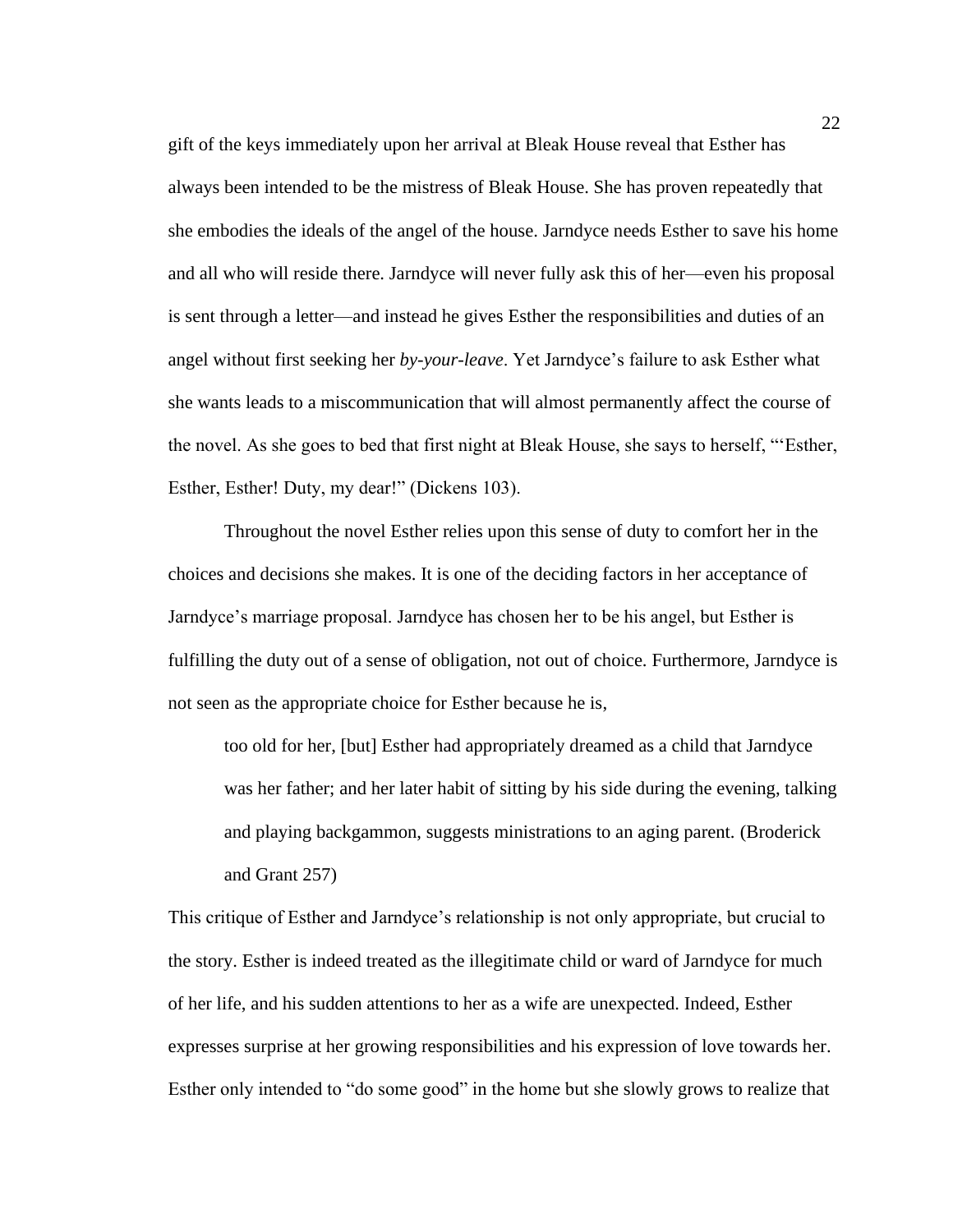gift of the keys immediately upon her arrival at Bleak House reveal that Esther has always been intended to be the mistress of Bleak House. She has proven repeatedly that she embodies the ideals of the angel of the house. Jarndyce needs Esther to save his home and all who will reside there. Jarndyce will never fully ask this of her—even his proposal is sent through a letter—and instead he gives Esther the responsibilities and duties of an angel without first seeking her *by-your-leave*. Yet Jarndyce's failure to ask Esther what she wants leads to a miscommunication that will almost permanently affect the course of the novel. As she goes to bed that first night at Bleak House, she says to herself, "'Esther, Esther, Esther! Duty, my dear!" (Dickens 103).

Throughout the novel Esther relies upon this sense of duty to comfort her in the choices and decisions she makes. It is one of the deciding factors in her acceptance of Jarndyce's marriage proposal. Jarndyce has chosen her to be his angel, but Esther is fulfilling the duty out of a sense of obligation, not out of choice. Furthermore, Jarndyce is not seen as the appropriate choice for Esther because he is,

too old for her, [but] Esther had appropriately dreamed as a child that Jarndyce was her father; and her later habit of sitting by his side during the evening, talking and playing backgammon, suggests ministrations to an aging parent. (Broderick and Grant 257)

This critique of Esther and Jarndyce's relationship is not only appropriate, but crucial to the story. Esther is indeed treated as the illegitimate child or ward of Jarndyce for much of her life, and his sudden attentions to her as a wife are unexpected. Indeed, Esther expresses surprise at her growing responsibilities and his expression of love towards her. Esther only intended to "do some good" in the home but she slowly grows to realize that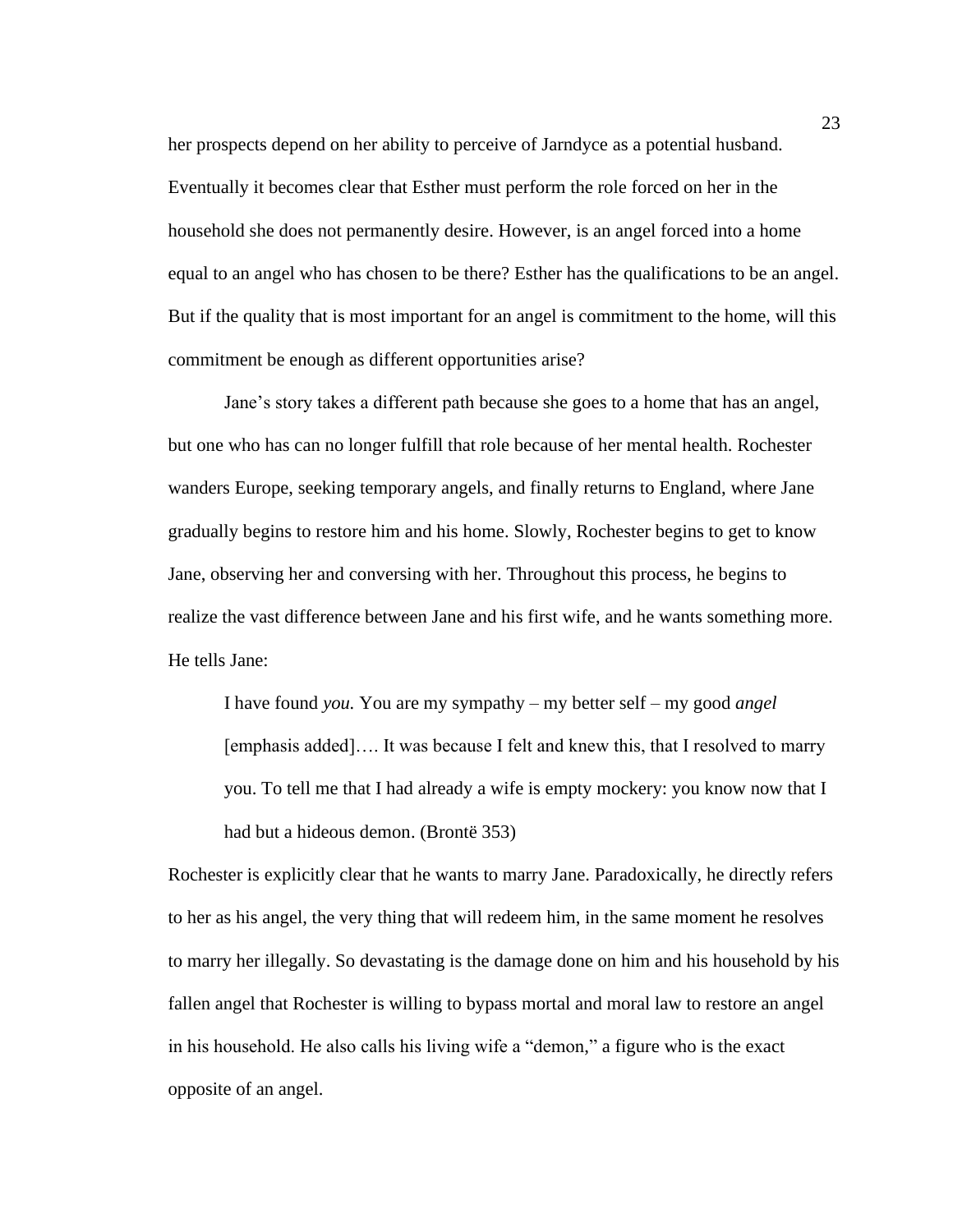her prospects depend on her ability to perceive of Jarndyce as a potential husband. Eventually it becomes clear that Esther must perform the role forced on her in the household she does not permanently desire. However, is an angel forced into a home equal to an angel who has chosen to be there? Esther has the qualifications to be an angel. But if the quality that is most important for an angel is commitment to the home, will this commitment be enough as different opportunities arise?

Jane's story takes a different path because she goes to a home that has an angel, but one who has can no longer fulfill that role because of her mental health. Rochester wanders Europe, seeking temporary angels, and finally returns to England, where Jane gradually begins to restore him and his home. Slowly, Rochester begins to get to know Jane, observing her and conversing with her. Throughout this process, he begins to realize the vast difference between Jane and his first wife, and he wants something more. He tells Jane:

I have found *you.* You are my sympathy – my better self – my good *angel* [emphasis added]…. It was because I felt and knew this, that I resolved to marry you. To tell me that I had already a wife is empty mockery: you know now that I had but a hideous demon. (Brontë 353)

Rochester is explicitly clear that he wants to marry Jane. Paradoxically, he directly refers to her as his angel, the very thing that will redeem him, in the same moment he resolves to marry her illegally. So devastating is the damage done on him and his household by his fallen angel that Rochester is willing to bypass mortal and moral law to restore an angel in his household. He also calls his living wife a "demon," a figure who is the exact opposite of an angel.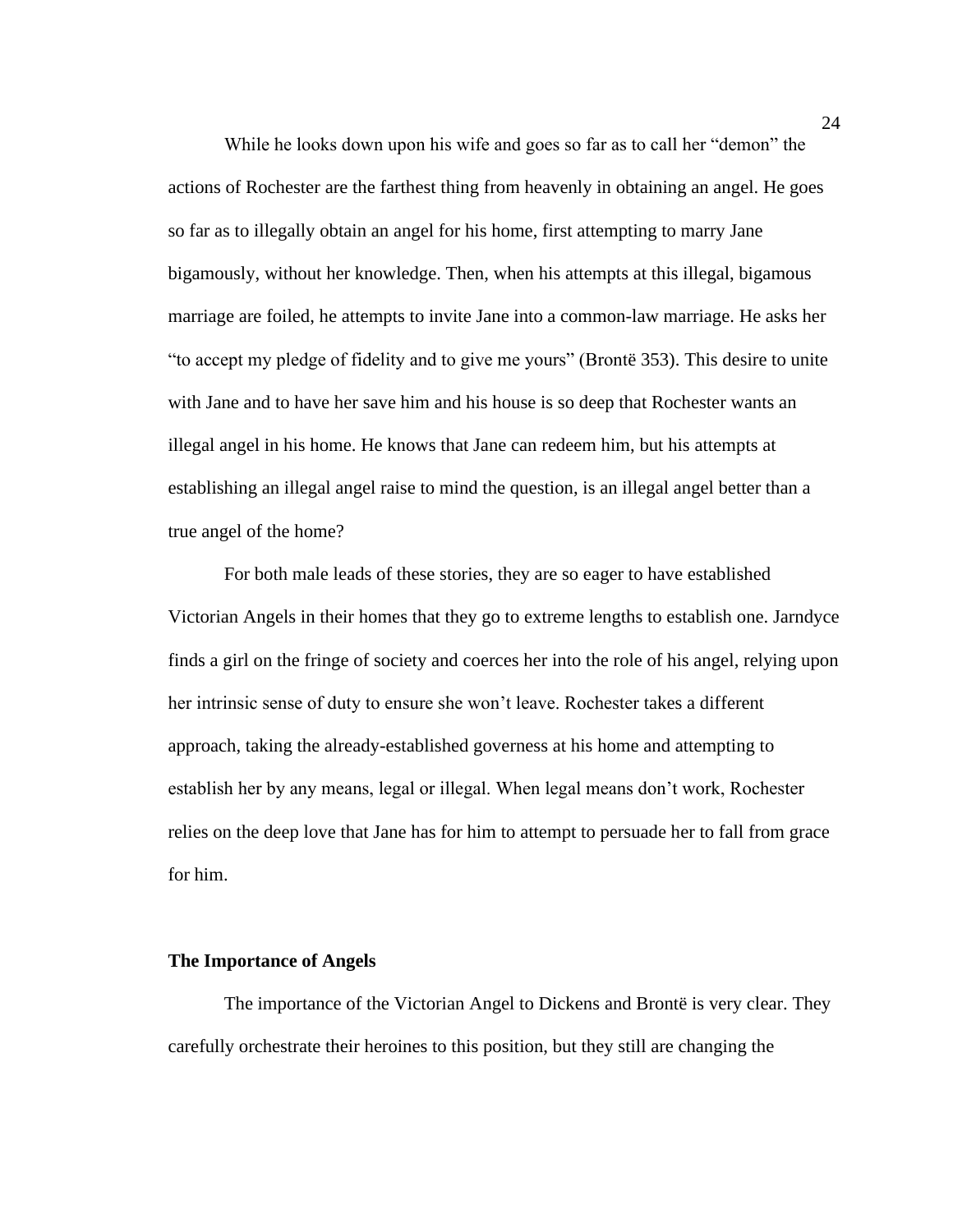While he looks down upon his wife and goes so far as to call her "demon" the actions of Rochester are the farthest thing from heavenly in obtaining an angel. He goes so far as to illegally obtain an angel for his home, first attempting to marry Jane bigamously, without her knowledge. Then, when his attempts at this illegal, bigamous marriage are foiled, he attempts to invite Jane into a common-law marriage. He asks her "to accept my pledge of fidelity and to give me yours" (Brontë 353). This desire to unite with Jane and to have her save him and his house is so deep that Rochester wants an illegal angel in his home. He knows that Jane can redeem him, but his attempts at establishing an illegal angel raise to mind the question, is an illegal angel better than a true angel of the home?

For both male leads of these stories, they are so eager to have established Victorian Angels in their homes that they go to extreme lengths to establish one. Jarndyce finds a girl on the fringe of society and coerces her into the role of his angel, relying upon her intrinsic sense of duty to ensure she won't leave. Rochester takes a different approach, taking the already-established governess at his home and attempting to establish her by any means, legal or illegal. When legal means don't work, Rochester relies on the deep love that Jane has for him to attempt to persuade her to fall from grace for him.

#### **The Importance of Angels**

The importance of the Victorian Angel to Dickens and Brontë is very clear. They carefully orchestrate their heroines to this position, but they still are changing the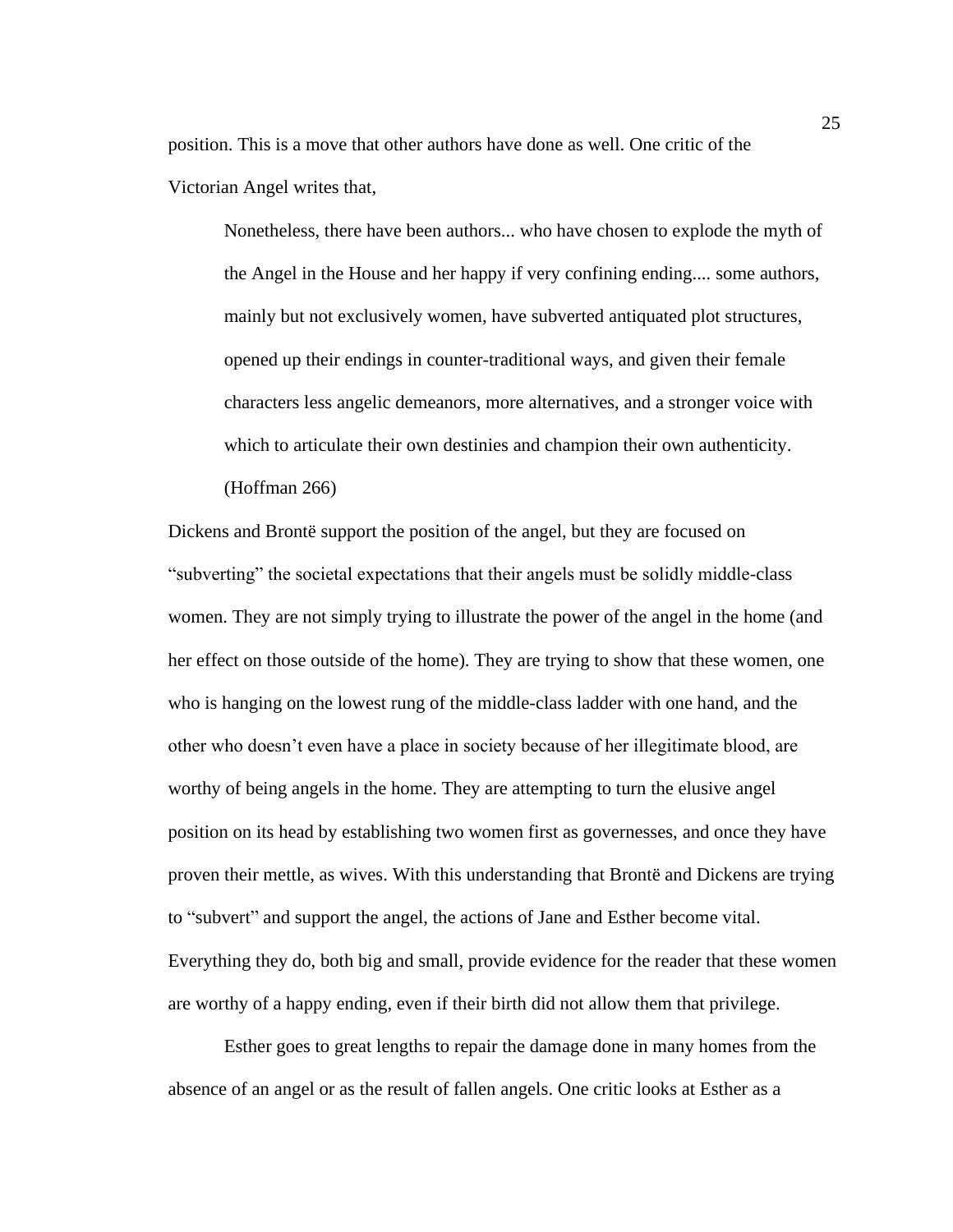position. This is a move that other authors have done as well. One critic of the Victorian Angel writes that,

Nonetheless, there have been authors... who have chosen to explode the myth of the Angel in the House and her happy if very confining ending.... some authors, mainly but not exclusively women, have subverted antiquated plot structures, opened up their endings in counter-traditional ways, and given their female characters less angelic demeanors, more alternatives, and a stronger voice with which to articulate their own destinies and champion their own authenticity. (Hoffman 266)

Dickens and Brontë support the position of the angel, but they are focused on "subverting" the societal expectations that their angels must be solidly middle-class women. They are not simply trying to illustrate the power of the angel in the home (and her effect on those outside of the home). They are trying to show that these women, one who is hanging on the lowest rung of the middle-class ladder with one hand, and the other who doesn't even have a place in society because of her illegitimate blood, are worthy of being angels in the home. They are attempting to turn the elusive angel position on its head by establishing two women first as governesses, and once they have proven their mettle, as wives. With this understanding that Brontë and Dickens are trying to "subvert" and support the angel, the actions of Jane and Esther become vital. Everything they do, both big and small, provide evidence for the reader that these women are worthy of a happy ending, even if their birth did not allow them that privilege.

Esther goes to great lengths to repair the damage done in many homes from the absence of an angel or as the result of fallen angels. One critic looks at Esther as a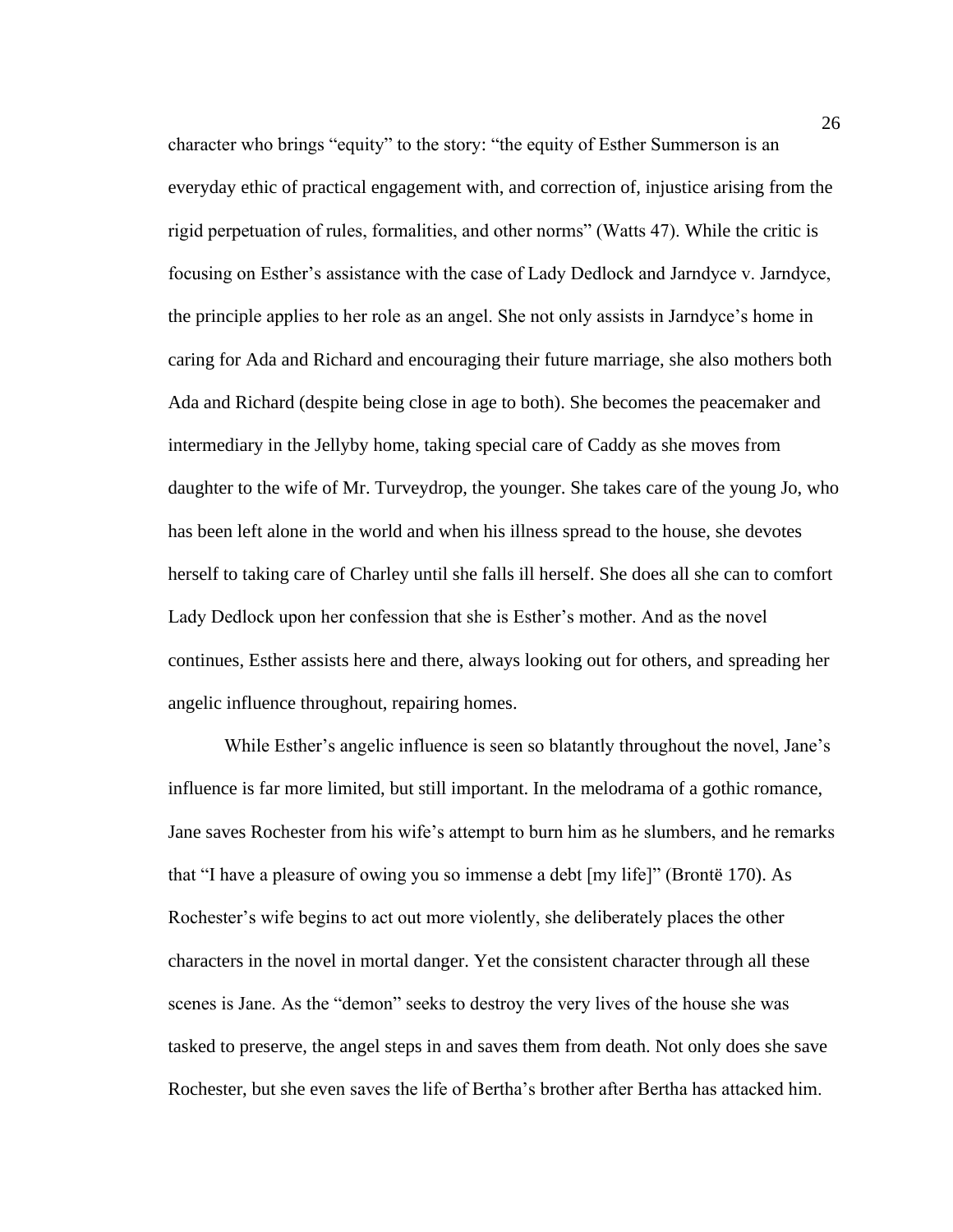character who brings "equity" to the story: "the equity of Esther Summerson is an everyday ethic of practical engagement with, and correction of, injustice arising from the rigid perpetuation of rules, formalities, and other norms" (Watts 47). While the critic is focusing on Esther's assistance with the case of Lady Dedlock and Jarndyce v. Jarndyce, the principle applies to her role as an angel. She not only assists in Jarndyce's home in caring for Ada and Richard and encouraging their future marriage, she also mothers both Ada and Richard (despite being close in age to both). She becomes the peacemaker and intermediary in the Jellyby home, taking special care of Caddy as she moves from daughter to the wife of Mr. Turveydrop, the younger. She takes care of the young Jo, who has been left alone in the world and when his illness spread to the house, she devotes herself to taking care of Charley until she falls ill herself. She does all she can to comfort Lady Dedlock upon her confession that she is Esther's mother. And as the novel continues, Esther assists here and there, always looking out for others, and spreading her angelic influence throughout, repairing homes.

While Esther's angelic influence is seen so blatantly throughout the novel, Jane's influence is far more limited, but still important. In the melodrama of a gothic romance, Jane saves Rochester from his wife's attempt to burn him as he slumbers, and he remarks that "I have a pleasure of owing you so immense a debt [my life]" (Brontë 170). As Rochester's wife begins to act out more violently, she deliberately places the other characters in the novel in mortal danger. Yet the consistent character through all these scenes is Jane. As the "demon" seeks to destroy the very lives of the house she was tasked to preserve, the angel steps in and saves them from death. Not only does she save Rochester, but she even saves the life of Bertha's brother after Bertha has attacked him.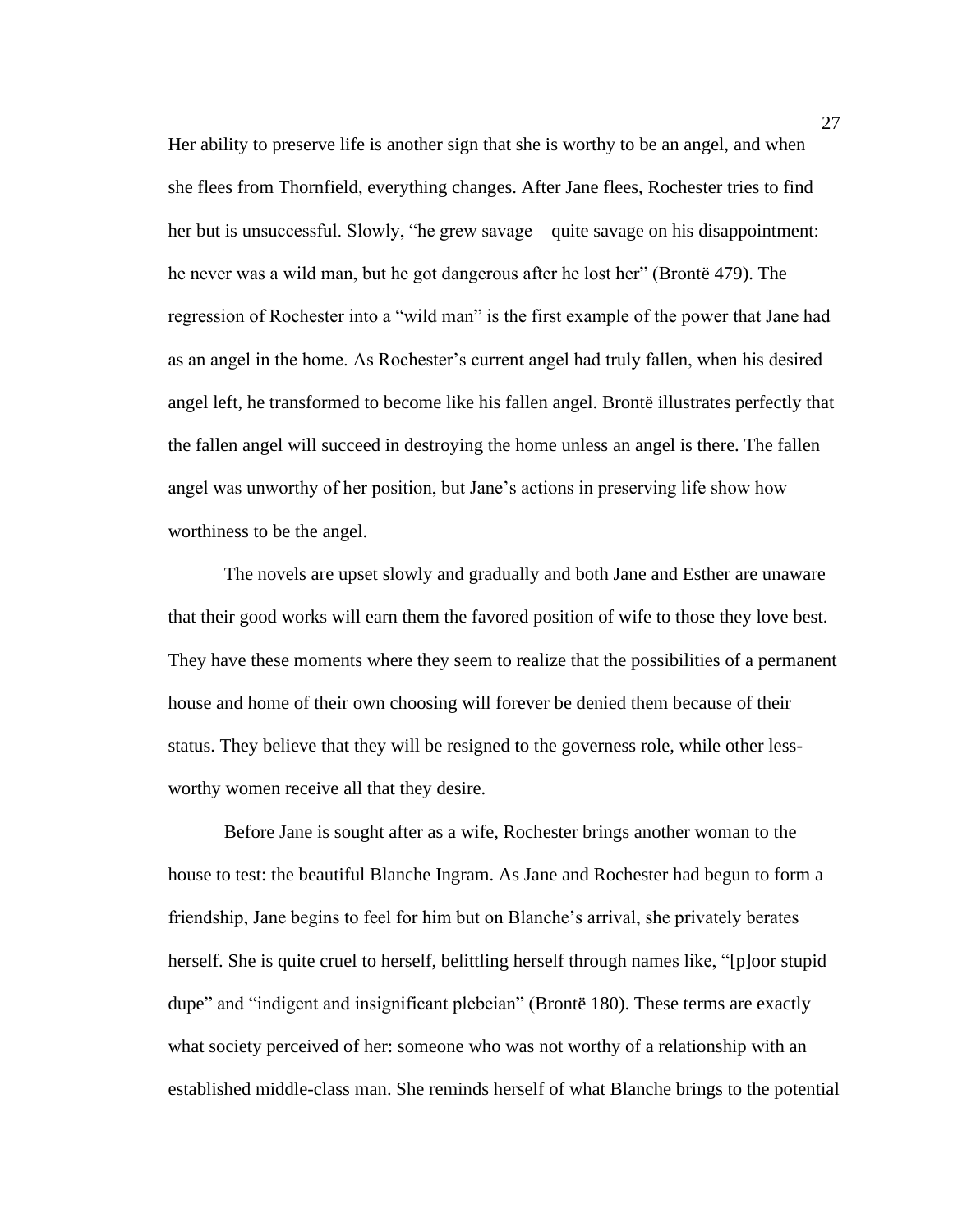Her ability to preserve life is another sign that she is worthy to be an angel, and when she flees from Thornfield, everything changes. After Jane flees, Rochester tries to find her but is unsuccessful. Slowly, "he grew savage – quite savage on his disappointment: he never was a wild man, but he got dangerous after he lost her" (Brontë 479). The regression of Rochester into a "wild man" is the first example of the power that Jane had as an angel in the home. As Rochester's current angel had truly fallen, when his desired angel left, he transformed to become like his fallen angel. Brontë illustrates perfectly that the fallen angel will succeed in destroying the home unless an angel is there. The fallen angel was unworthy of her position, but Jane's actions in preserving life show how worthiness to be the angel.

The novels are upset slowly and gradually and both Jane and Esther are unaware that their good works will earn them the favored position of wife to those they love best. They have these moments where they seem to realize that the possibilities of a permanent house and home of their own choosing will forever be denied them because of their status. They believe that they will be resigned to the governess role, while other lessworthy women receive all that they desire.

Before Jane is sought after as a wife, Rochester brings another woman to the house to test: the beautiful Blanche Ingram. As Jane and Rochester had begun to form a friendship, Jane begins to feel for him but on Blanche's arrival, she privately berates herself. She is quite cruel to herself, belittling herself through names like, "[p]oor stupid dupe" and "indigent and insignificant plebeian" (Brontë 180). These terms are exactly what society perceived of her: someone who was not worthy of a relationship with an established middle-class man. She reminds herself of what Blanche brings to the potential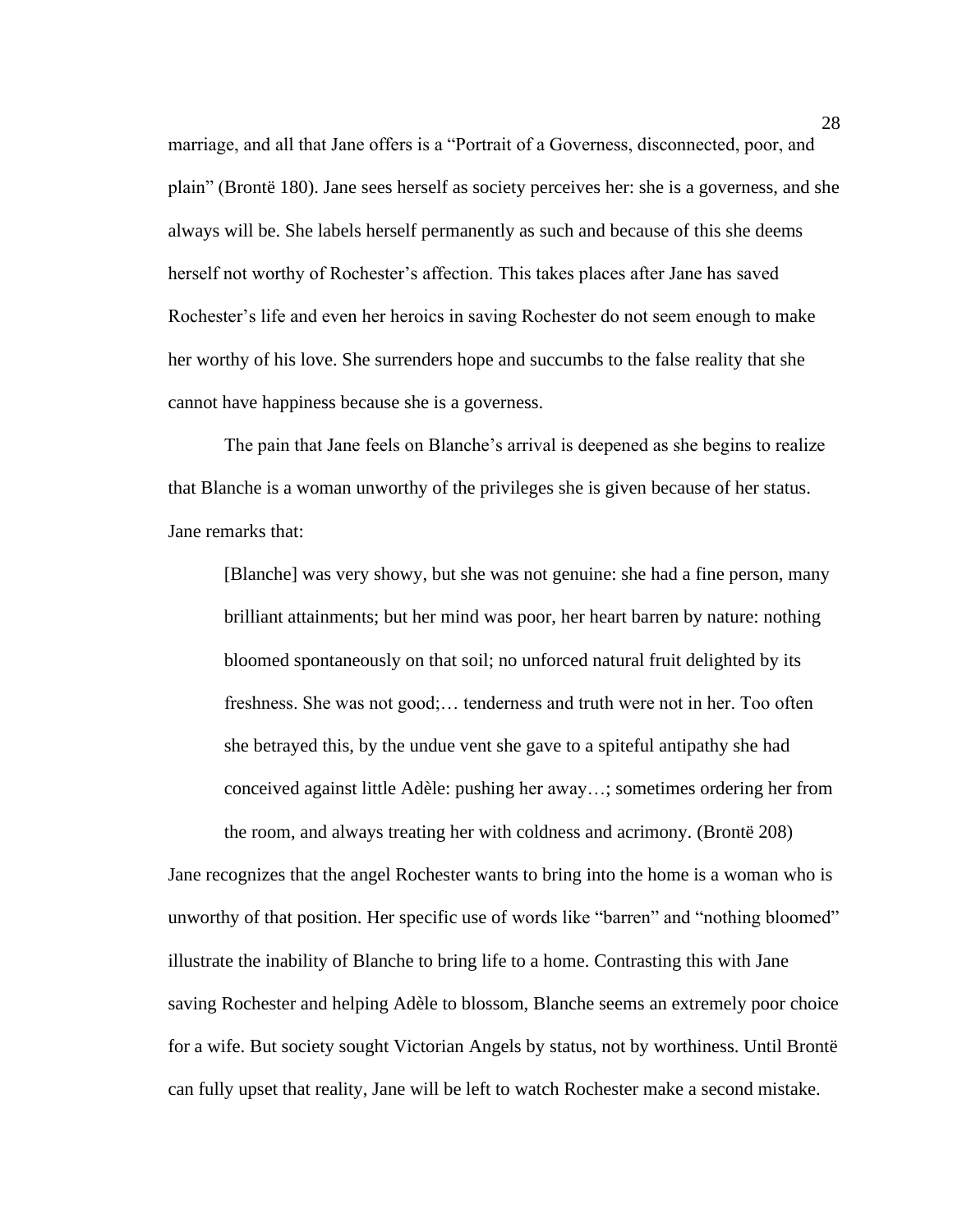marriage, and all that Jane offers is a "Portrait of a Governess, disconnected, poor, and plain" (Brontë 180). Jane sees herself as society perceives her: she is a governess, and she always will be. She labels herself permanently as such and because of this she deems herself not worthy of Rochester's affection. This takes places after Jane has saved Rochester's life and even her heroics in saving Rochester do not seem enough to make her worthy of his love. She surrenders hope and succumbs to the false reality that she cannot have happiness because she is a governess.

The pain that Jane feels on Blanche's arrival is deepened as she begins to realize that Blanche is a woman unworthy of the privileges she is given because of her status. Jane remarks that:

[Blanche] was very showy, but she was not genuine: she had a fine person, many brilliant attainments; but her mind was poor, her heart barren by nature: nothing bloomed spontaneously on that soil; no unforced natural fruit delighted by its freshness. She was not good;… tenderness and truth were not in her. Too often she betrayed this, by the undue vent she gave to a spiteful antipathy she had conceived against little Adèle: pushing her away…; sometimes ordering her from the room, and always treating her with coldness and acrimony. (Brontë 208)

Jane recognizes that the angel Rochester wants to bring into the home is a woman who is unworthy of that position. Her specific use of words like "barren" and "nothing bloomed" illustrate the inability of Blanche to bring life to a home. Contrasting this with Jane saving Rochester and helping Adèle to blossom, Blanche seems an extremely poor choice for a wife. But society sought Victorian Angels by status, not by worthiness. Until Brontë can fully upset that reality, Jane will be left to watch Rochester make a second mistake.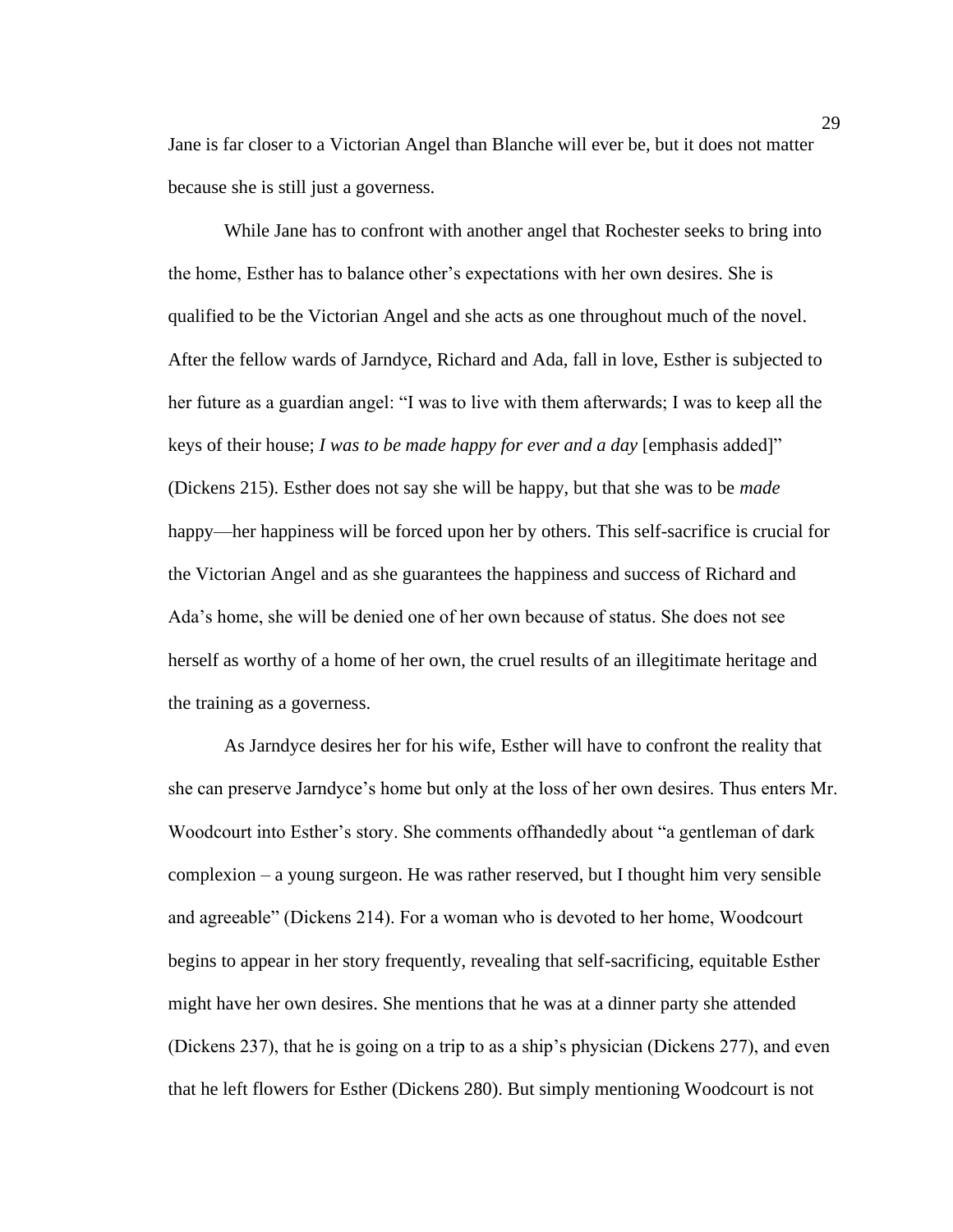Jane is far closer to a Victorian Angel than Blanche will ever be, but it does not matter because she is still just a governess.

While Jane has to confront with another angel that Rochester seeks to bring into the home, Esther has to balance other's expectations with her own desires. She is qualified to be the Victorian Angel and she acts as one throughout much of the novel. After the fellow wards of Jarndyce, Richard and Ada, fall in love, Esther is subjected to her future as a guardian angel: "I was to live with them afterwards; I was to keep all the keys of their house; *I was to be made happy for ever and a day* [emphasis added]" (Dickens 215). Esther does not say she will be happy, but that she was to be *made* happy—her happiness will be forced upon her by others. This self-sacrifice is crucial for the Victorian Angel and as she guarantees the happiness and success of Richard and Ada's home, she will be denied one of her own because of status. She does not see herself as worthy of a home of her own, the cruel results of an illegitimate heritage and the training as a governess.

As Jarndyce desires her for his wife, Esther will have to confront the reality that she can preserve Jarndyce's home but only at the loss of her own desires. Thus enters Mr. Woodcourt into Esther's story. She comments offhandedly about "a gentleman of dark complexion – a young surgeon. He was rather reserved, but I thought him very sensible and agreeable" (Dickens 214). For a woman who is devoted to her home, Woodcourt begins to appear in her story frequently, revealing that self-sacrificing, equitable Esther might have her own desires. She mentions that he was at a dinner party she attended (Dickens 237), that he is going on a trip to as a ship's physician (Dickens 277), and even that he left flowers for Esther (Dickens 280). But simply mentioning Woodcourt is not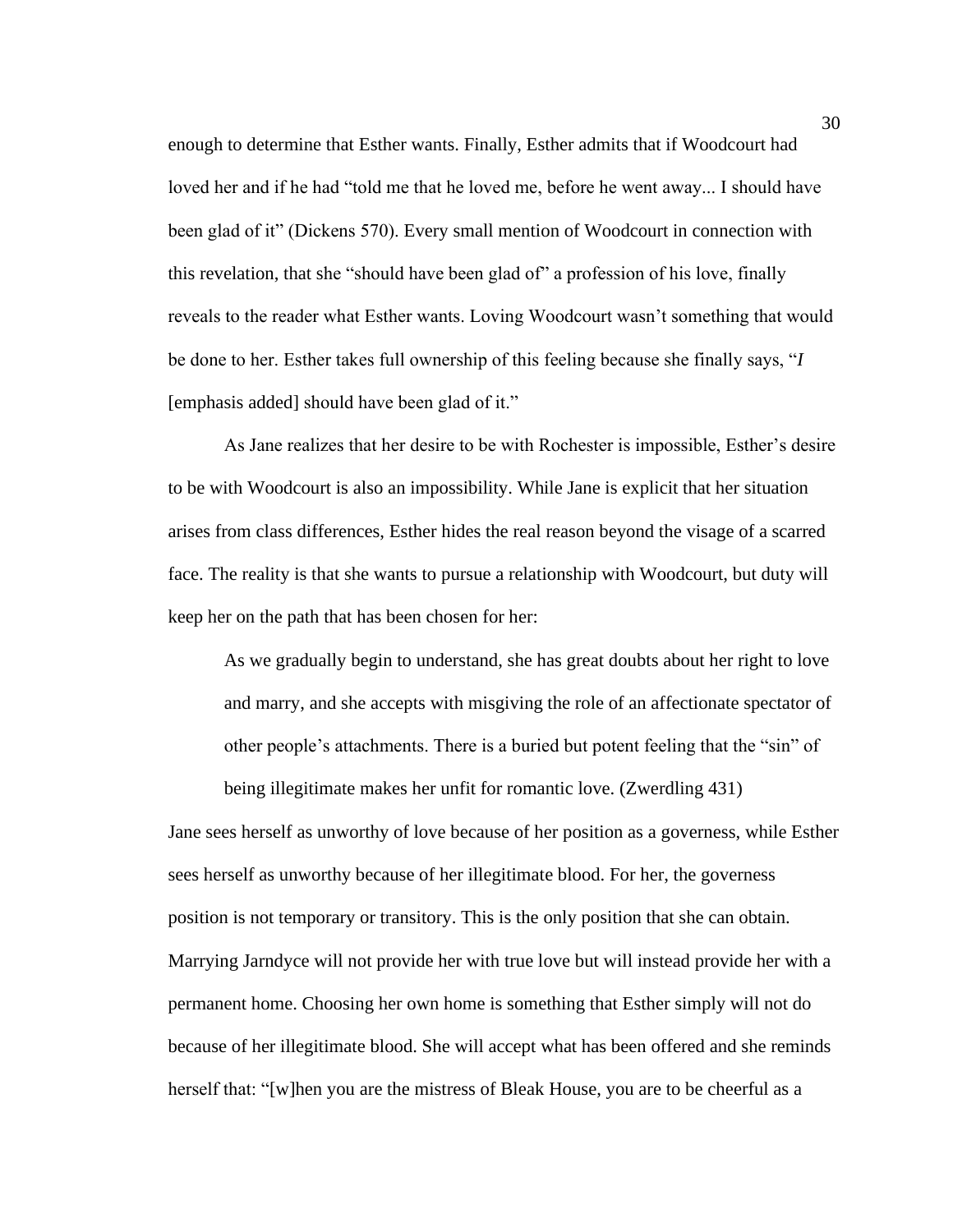enough to determine that Esther wants. Finally, Esther admits that if Woodcourt had loved her and if he had "told me that he loved me, before he went away... I should have been glad of it" (Dickens 570). Every small mention of Woodcourt in connection with this revelation, that she "should have been glad of" a profession of his love, finally reveals to the reader what Esther wants. Loving Woodcourt wasn't something that would be done to her. Esther takes full ownership of this feeling because she finally says, "*I* [emphasis added] should have been glad of it."

As Jane realizes that her desire to be with Rochester is impossible, Esther's desire to be with Woodcourt is also an impossibility. While Jane is explicit that her situation arises from class differences, Esther hides the real reason beyond the visage of a scarred face. The reality is that she wants to pursue a relationship with Woodcourt, but duty will keep her on the path that has been chosen for her:

As we gradually begin to understand, she has great doubts about her right to love and marry, and she accepts with misgiving the role of an affectionate spectator of other people's attachments. There is a buried but potent feeling that the "sin" of being illegitimate makes her unfit for romantic love. (Zwerdling 431)

Jane sees herself as unworthy of love because of her position as a governess, while Esther sees herself as unworthy because of her illegitimate blood. For her, the governess position is not temporary or transitory. This is the only position that she can obtain. Marrying Jarndyce will not provide her with true love but will instead provide her with a permanent home. Choosing her own home is something that Esther simply will not do because of her illegitimate blood. She will accept what has been offered and she reminds herself that: "[w]hen you are the mistress of Bleak House, you are to be cheerful as a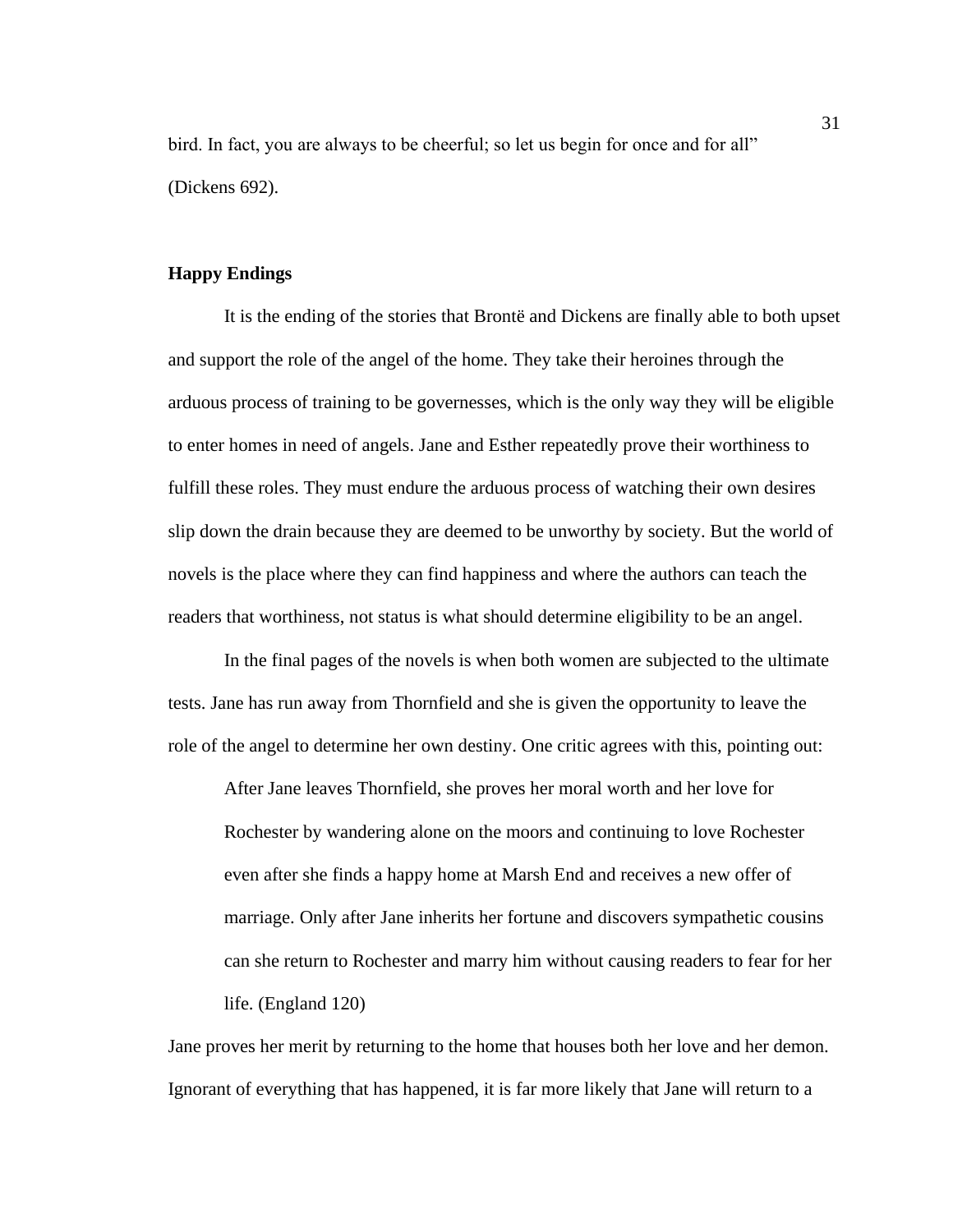bird. In fact, you are always to be cheerful; so let us begin for once and for all" (Dickens 692).

# **Happy Endings**

It is the ending of the stories that Brontë and Dickens are finally able to both upset and support the role of the angel of the home. They take their heroines through the arduous process of training to be governesses, which is the only way they will be eligible to enter homes in need of angels. Jane and Esther repeatedly prove their worthiness to fulfill these roles. They must endure the arduous process of watching their own desires slip down the drain because they are deemed to be unworthy by society. But the world of novels is the place where they can find happiness and where the authors can teach the readers that worthiness, not status is what should determine eligibility to be an angel.

In the final pages of the novels is when both women are subjected to the ultimate tests. Jane has run away from Thornfield and she is given the opportunity to leave the role of the angel to determine her own destiny. One critic agrees with this, pointing out:

After Jane leaves Thornfield, she proves her moral worth and her love for Rochester by wandering alone on the moors and continuing to love Rochester even after she finds a happy home at Marsh End and receives a new offer of marriage. Only after Jane inherits her fortune and discovers sympathetic cousins can she return to Rochester and marry him without causing readers to fear for her life. (England 120)

Jane proves her merit by returning to the home that houses both her love and her demon. Ignorant of everything that has happened, it is far more likely that Jane will return to a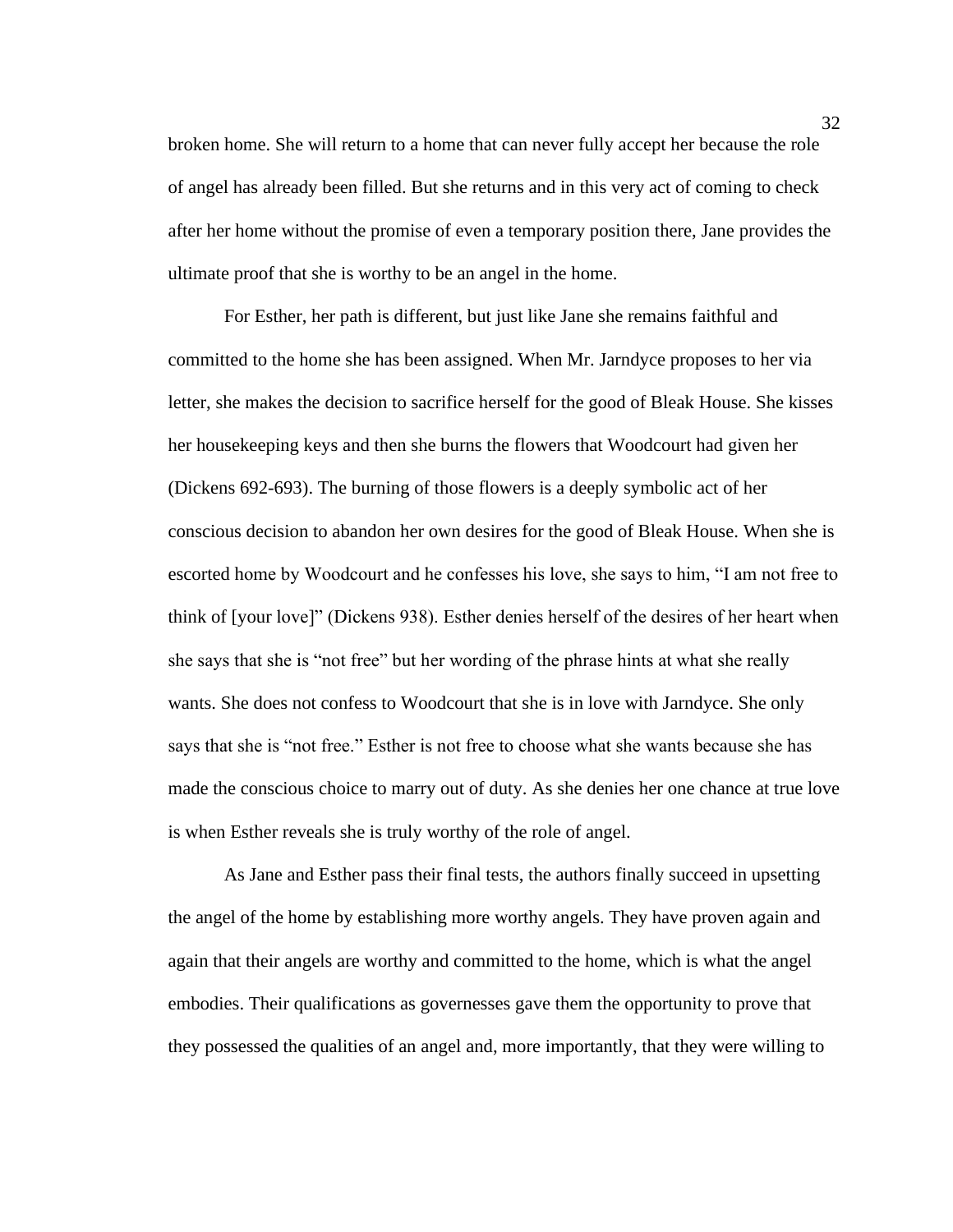broken home. She will return to a home that can never fully accept her because the role of angel has already been filled. But she returns and in this very act of coming to check after her home without the promise of even a temporary position there, Jane provides the ultimate proof that she is worthy to be an angel in the home.

For Esther, her path is different, but just like Jane she remains faithful and committed to the home she has been assigned. When Mr. Jarndyce proposes to her via letter, she makes the decision to sacrifice herself for the good of Bleak House. She kisses her housekeeping keys and then she burns the flowers that Woodcourt had given her (Dickens 692-693). The burning of those flowers is a deeply symbolic act of her conscious decision to abandon her own desires for the good of Bleak House. When she is escorted home by Woodcourt and he confesses his love, she says to him, "I am not free to think of [your love]" (Dickens 938). Esther denies herself of the desires of her heart when she says that she is "not free" but her wording of the phrase hints at what she really wants. She does not confess to Woodcourt that she is in love with Jarndyce. She only says that she is "not free." Esther is not free to choose what she wants because she has made the conscious choice to marry out of duty. As she denies her one chance at true love is when Esther reveals she is truly worthy of the role of angel.

As Jane and Esther pass their final tests, the authors finally succeed in upsetting the angel of the home by establishing more worthy angels. They have proven again and again that their angels are worthy and committed to the home, which is what the angel embodies. Their qualifications as governesses gave them the opportunity to prove that they possessed the qualities of an angel and, more importantly, that they were willing to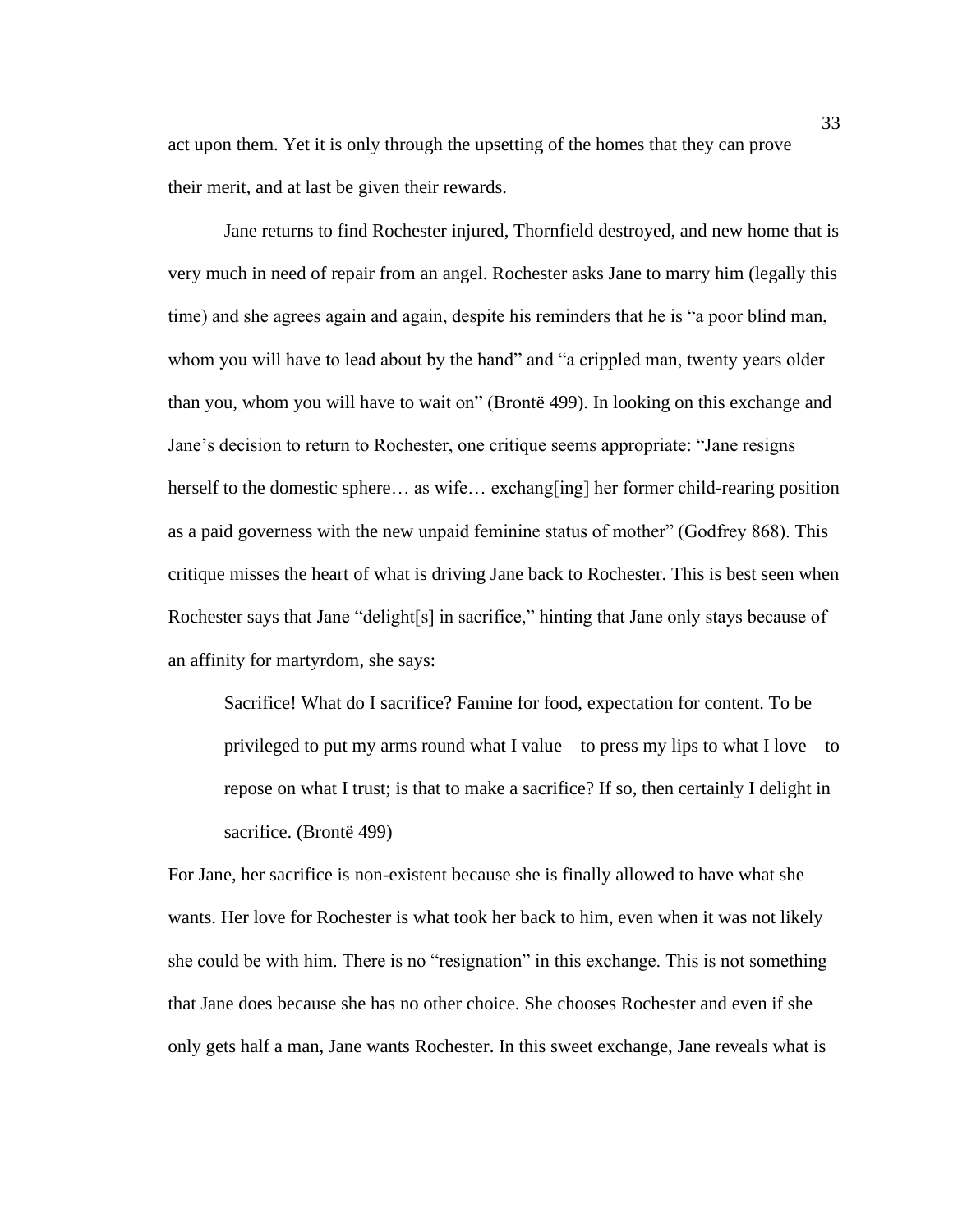act upon them. Yet it is only through the upsetting of the homes that they can prove their merit, and at last be given their rewards.

Jane returns to find Rochester injured, Thornfield destroyed, and new home that is very much in need of repair from an angel. Rochester asks Jane to marry him (legally this time) and she agrees again and again, despite his reminders that he is "a poor blind man, whom you will have to lead about by the hand" and "a crippled man, twenty years older than you, whom you will have to wait on" (Brontë 499). In looking on this exchange and Jane's decision to return to Rochester, one critique seems appropriate: "Jane resigns herself to the domestic sphere… as wife… exchang[ing] her former child-rearing position as a paid governess with the new unpaid feminine status of mother" (Godfrey 868). This critique misses the heart of what is driving Jane back to Rochester. This is best seen when Rochester says that Jane "delight[s] in sacrifice," hinting that Jane only stays because of an affinity for martyrdom, she says:

Sacrifice! What do I sacrifice? Famine for food, expectation for content. To be privileged to put my arms round what I value – to press my lips to what I love – to repose on what I trust; is that to make a sacrifice? If so, then certainly I delight in sacrifice. (Brontë 499)

For Jane, her sacrifice is non-existent because she is finally allowed to have what she wants. Her love for Rochester is what took her back to him, even when it was not likely she could be with him. There is no "resignation" in this exchange. This is not something that Jane does because she has no other choice. She chooses Rochester and even if she only gets half a man, Jane wants Rochester. In this sweet exchange, Jane reveals what is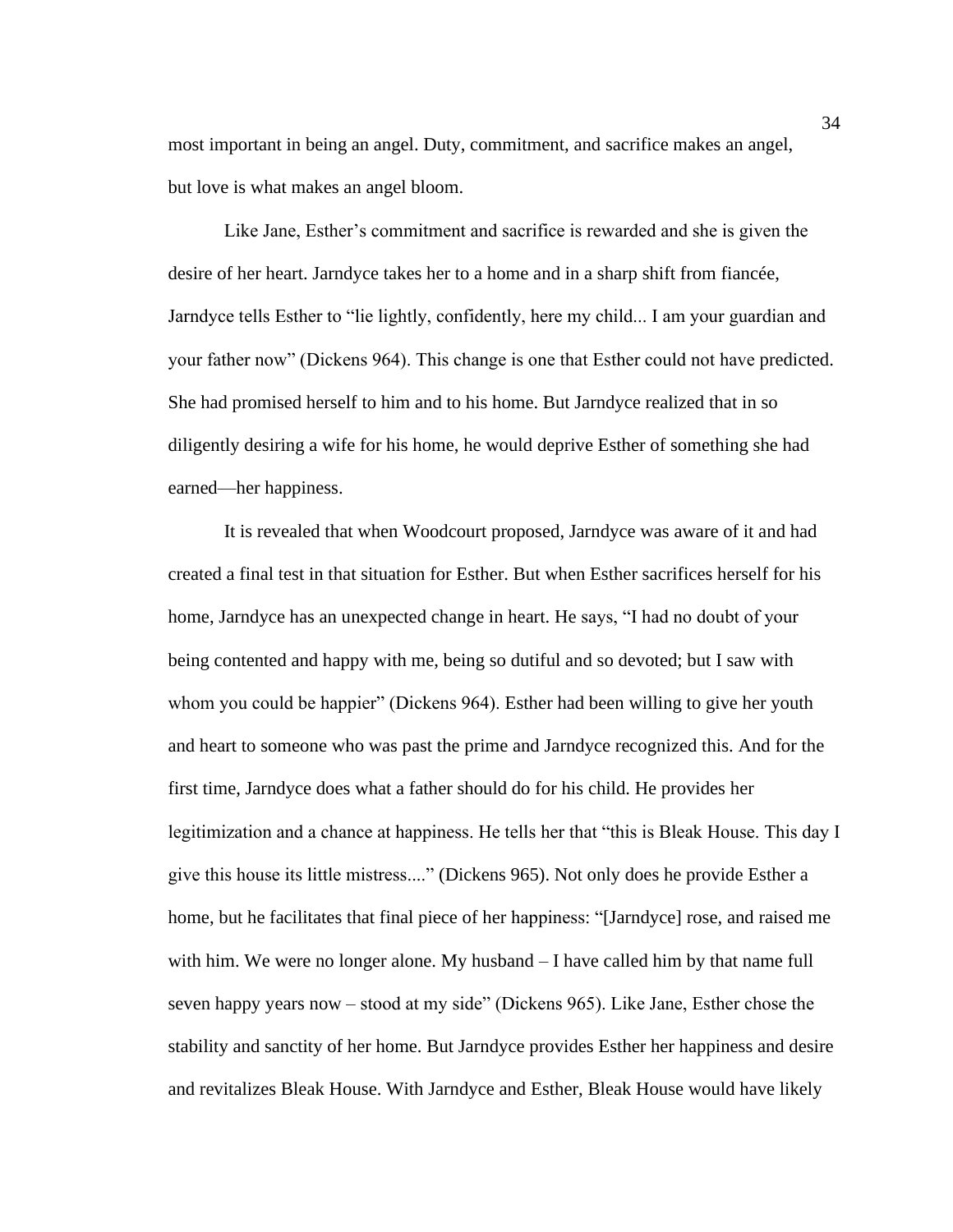most important in being an angel. Duty, commitment, and sacrifice makes an angel, but love is what makes an angel bloom.

Like Jane, Esther's commitment and sacrifice is rewarded and she is given the desire of her heart. Jarndyce takes her to a home and in a sharp shift from fiancée, Jarndyce tells Esther to "lie lightly, confidently, here my child... I am your guardian and your father now" (Dickens 964). This change is one that Esther could not have predicted. She had promised herself to him and to his home. But Jarndyce realized that in so diligently desiring a wife for his home, he would deprive Esther of something she had earned—her happiness.

It is revealed that when Woodcourt proposed, Jarndyce was aware of it and had created a final test in that situation for Esther. But when Esther sacrifices herself for his home, Jarndyce has an unexpected change in heart. He says, "I had no doubt of your being contented and happy with me, being so dutiful and so devoted; but I saw with whom you could be happier" (Dickens 964). Esther had been willing to give her youth and heart to someone who was past the prime and Jarndyce recognized this. And for the first time, Jarndyce does what a father should do for his child. He provides her legitimization and a chance at happiness. He tells her that "this is Bleak House. This day I give this house its little mistress...." (Dickens 965). Not only does he provide Esther a home, but he facilitates that final piece of her happiness: "[Jarndyce] rose, and raised me with him. We were no longer alone. My husband – I have called him by that name full seven happy years now – stood at my side" (Dickens 965). Like Jane, Esther chose the stability and sanctity of her home. But Jarndyce provides Esther her happiness and desire and revitalizes Bleak House. With Jarndyce and Esther, Bleak House would have likely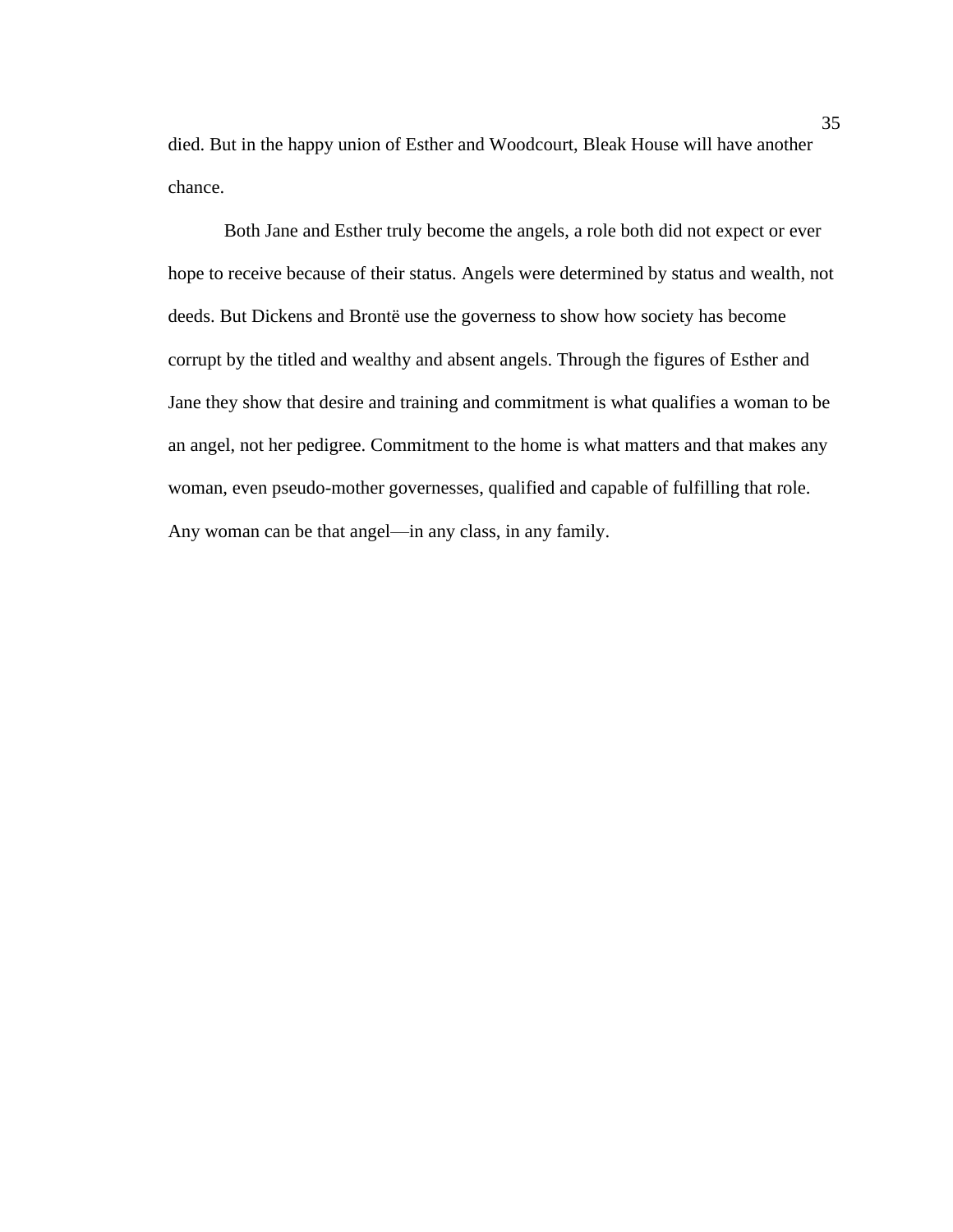died. But in the happy union of Esther and Woodcourt, Bleak House will have another chance.

Both Jane and Esther truly become the angels, a role both did not expect or ever hope to receive because of their status. Angels were determined by status and wealth, not deeds. But Dickens and Brontë use the governess to show how society has become corrupt by the titled and wealthy and absent angels. Through the figures of Esther and Jane they show that desire and training and commitment is what qualifies a woman to be an angel, not her pedigree. Commitment to the home is what matters and that makes any woman, even pseudo-mother governesses, qualified and capable of fulfilling that role. Any woman can be that angel—in any class, in any family.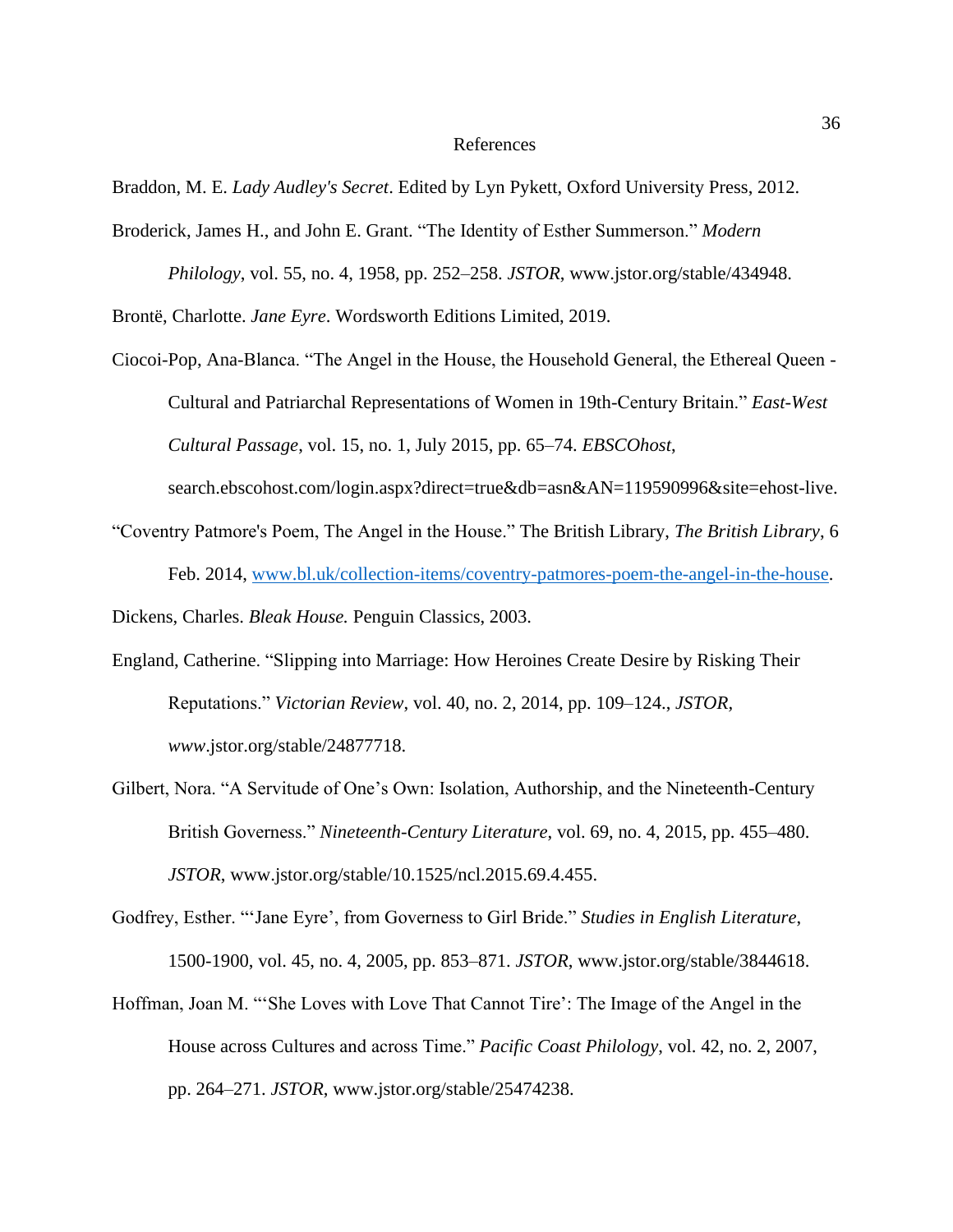#### References

Braddon, M. E. *Lady Audley's Secret*. Edited by Lyn Pykett, Oxford University Press, 2012.

Broderick, James H., and John E. Grant. "The Identity of Esther Summerson." *Modern* 

*Philology*, vol. 55, no. 4, 1958, pp. 252–258. *JSTOR*, www.jstor.org/stable/434948.

Brontë, Charlotte. *Jane Eyre*. Wordsworth Editions Limited, 2019.

Ciocoi-Pop, Ana-Blanca. "The Angel in the House, the Household General, the Ethereal Queen - Cultural and Patriarchal Representations of Women in 19th-Century Britain." *East-West Cultural Passage*, vol. 15, no. 1, July 2015, pp. 65–74. *EBSCOhost*,

search.ebscohost.com/login.aspx?direct=true&db=asn&AN=119590996&site=ehost-live.

"Coventry Patmore's Poem, The Angel in the House." The British Library, *The British Library*, 6 Feb. 2014, [www.bl.uk/collection-items/coventry-patmores-poem-the-angel-in-the-house.](http://www.bl.uk/collection-items/coventry-patmores-poem-the-angel-in-the-house)

Dickens, Charles. *Bleak House.* Penguin Classics, 2003.

- England, Catherine. "Slipping into Marriage: How Heroines Create Desire by Risking Their Reputations." *Victorian Review*, vol. 40, no. 2, 2014, pp. 109–124., *JSTOR, www*.jstor.org/stable/24877718.
- Gilbert, Nora. "A Servitude of One's Own: Isolation, Authorship, and the Nineteenth-Century British Governess." *Nineteenth-Century Literature*, vol. 69, no. 4, 2015, pp. 455–480. *JSTOR*, www.jstor.org/stable/10.1525/ncl.2015.69.4.455.
- Godfrey, Esther. "'Jane Eyre', from Governess to Girl Bride." *Studies in English Literature*, 1500-1900, vol. 45, no. 4, 2005, pp. 853–871. *JSTOR*, www.jstor.org/stable/3844618.
- Hoffman, Joan M. "'She Loves with Love That Cannot Tire': The Image of the Angel in the House across Cultures and across Time." *Pacific Coast Philology*, vol. 42, no. 2, 2007, pp. 264–271. *JSTOR*, www.jstor.org/stable/25474238.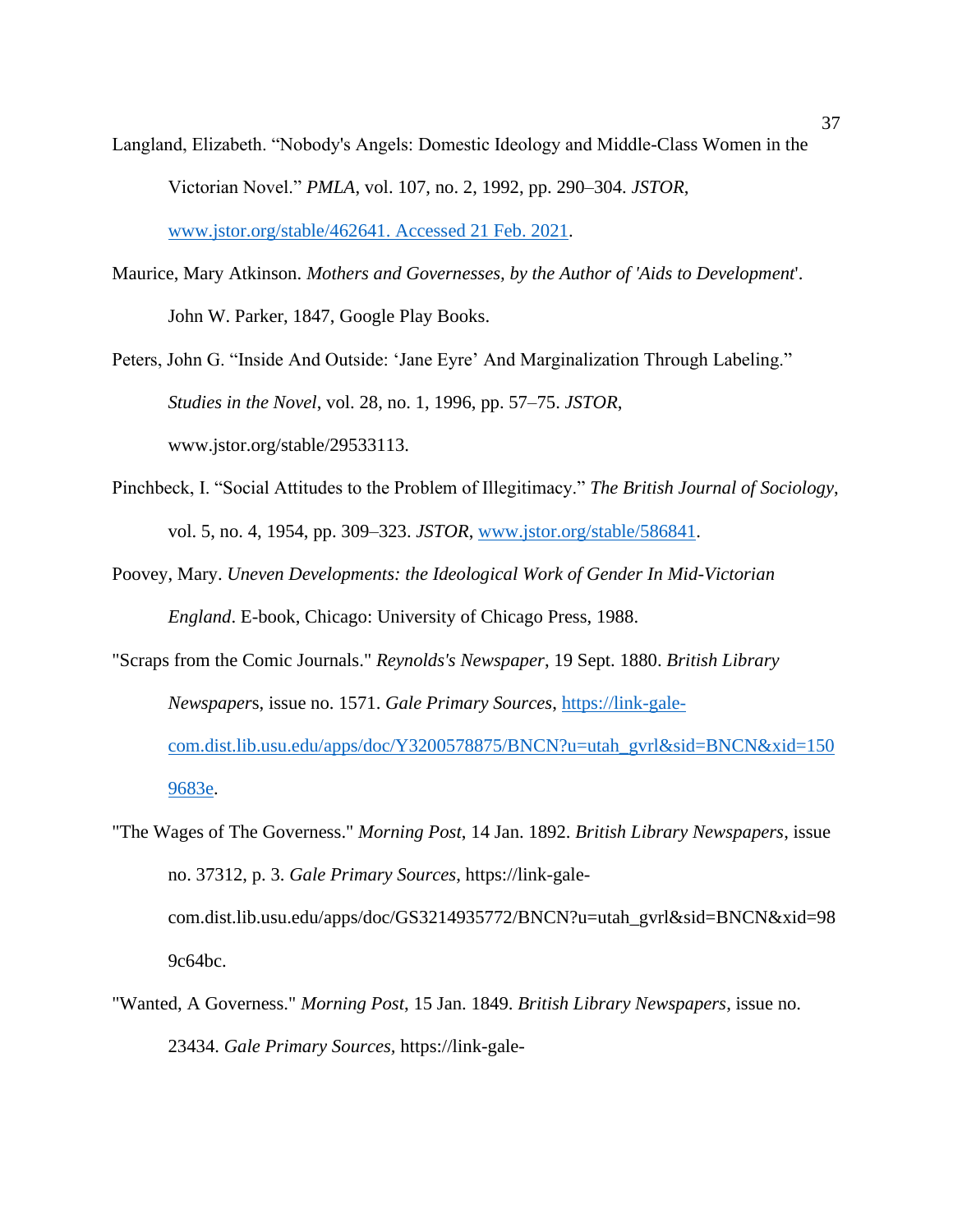- Langland, Elizabeth. "Nobody's Angels: Domestic Ideology and Middle-Class Women in the Victorian Novel." *PMLA*, vol. 107, no. 2, 1992, pp. 290–304. *JSTOR*, [www.jstor.org/stable/462641. Accessed 21 Feb. 2021.](http://www.jstor.org/stable/462641.%20Accessed%2021%20Feb.%202021)
- Maurice, Mary Atkinson. *Mothers and Governesses, by the Author of 'Aids to Development*'. John W. Parker, 1847, Google Play Books.
- Peters, John G. "Inside And Outside: 'Jane Eyre' And Marginalization Through Labeling." *Studies in the Novel*, vol. 28, no. 1, 1996, pp. 57–75. *JSTOR*, www.jstor.org/stable/29533113.
- Pinchbeck, I. "Social Attitudes to the Problem of Illegitimacy." *The British Journal of Sociology*, vol. 5, no. 4, 1954, pp. 309–323. *JSTOR*, [www.jstor.org/stable/586841.](http://www.jstor.org/stable/586841)
- Poovey, Mary. *Uneven Developments: the Ideological Work of Gender In Mid-Victorian England*. E-book, Chicago: University of Chicago Press, 1988.
- "Scraps from the Comic Journals." *Reynolds's Newspaper*, 19 Sept. 1880. *British Library Newspaper*s, issue no. 1571. *Gale Primary Sources*, [https://link-gale](https://link-gale-com.dist.lib.usu.edu/apps/doc/Y3200578875/BNCN?u=utah_gvrl&sid=BNCN&xid=1509683e)[com.dist.lib.usu.edu/apps/doc/Y3200578875/BNCN?u=utah\\_gvrl&sid=BNCN&xid=150](https://link-gale-com.dist.lib.usu.edu/apps/doc/Y3200578875/BNCN?u=utah_gvrl&sid=BNCN&xid=1509683e) [9683e.](https://link-gale-com.dist.lib.usu.edu/apps/doc/Y3200578875/BNCN?u=utah_gvrl&sid=BNCN&xid=1509683e)
- "The Wages of The Governess." *Morning Post*, 14 Jan. 1892. *British Library Newspapers*, issue no. 37312, p. 3. *Gale Primary Sources*, https://link-galecom.dist.lib.usu.edu/apps/doc/GS3214935772/BNCN?u=utah\_gvrl&sid=BNCN&xid=98 9c64bc.
- "Wanted, A Governess." *Morning Post*, 15 Jan. 1849. *British Library Newspapers*, issue no. 23434. *Gale Primary Sources,* https://link-gale-